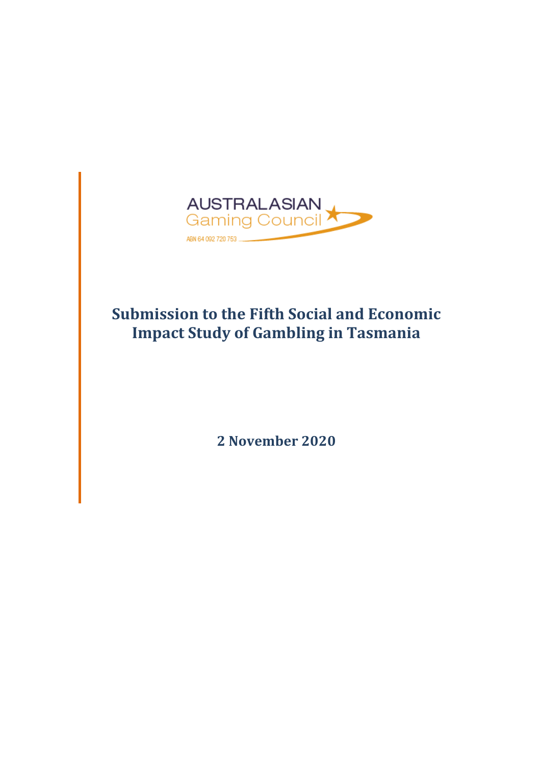

# **Submission to the Fifth Social and Economic Impact Study of Gambling in Tasmania**

**2 November 2020**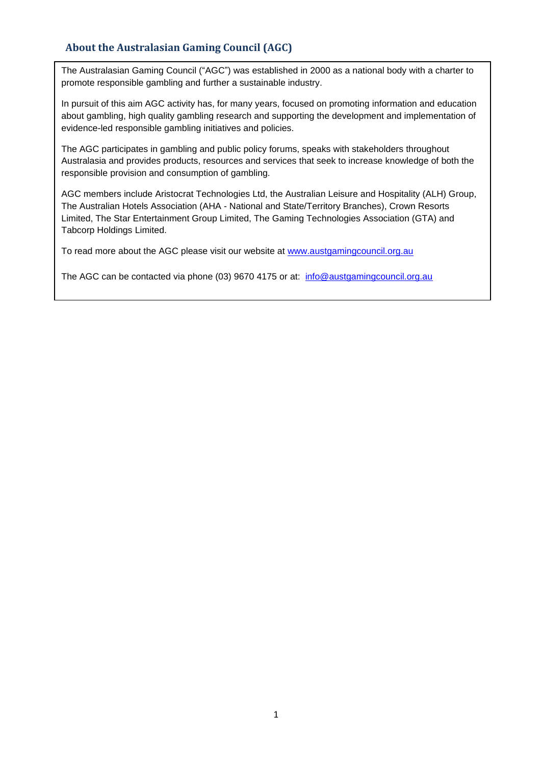# **About the Australasian Gaming Council (AGC)**

The Australasian Gaming Council ("AGC") was established in 2000 as a national body with a charter to promote responsible gambling and further a sustainable industry.

In pursuit of this aim AGC activity has, for many years, focused on promoting information and education about gambling, high quality gambling research and supporting the development and implementation of evidence-led responsible gambling initiatives and policies.

The AGC participates in gambling and public policy forums, speaks with stakeholders throughout Australasia and provides products, resources and services that seek to increase knowledge of both the responsible provision and consumption of gambling.

AGC members include Aristocrat Technologies Ltd, the Australian Leisure and Hospitality (ALH) Group, The Australian Hotels Association (AHA - National and State/Territory Branches), Crown Resorts Limited, The Star Entertainment Group Limited, The Gaming Technologies Association (GTA) and Tabcorp Holdings Limited.

To read more about the AGC please visit our website at [www.austgamingcouncil.org.au](http://www.austgamingcouncil.org.au/)

The AGC can be contacted via phone (03) 9670 4175 or at: [info@austgamingcouncil.org.au](mailto:info@austgamingcouncil.org.au)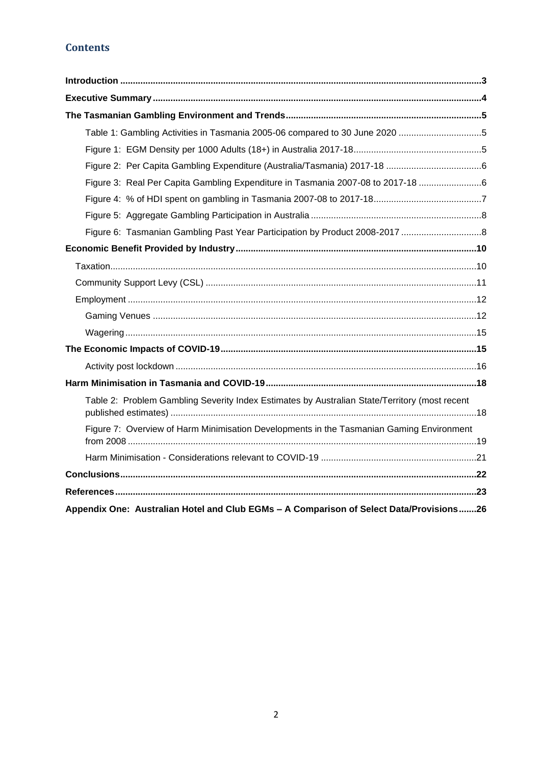# **Contents**

| Table 1: Gambling Activities in Tasmania 2005-06 compared to 30 June 2020 5                   |
|-----------------------------------------------------------------------------------------------|
|                                                                                               |
|                                                                                               |
| Figure 3: Real Per Capita Gambling Expenditure in Tasmania 2007-08 to 2017-18                 |
|                                                                                               |
|                                                                                               |
| Figure 6: Tasmanian Gambling Past Year Participation by Product 2008-2017 8                   |
|                                                                                               |
|                                                                                               |
|                                                                                               |
|                                                                                               |
|                                                                                               |
|                                                                                               |
|                                                                                               |
|                                                                                               |
|                                                                                               |
| Table 2: Problem Gambling Severity Index Estimates by Australian State/Territory (most recent |
| Figure 7: Overview of Harm Minimisation Developments in the Tasmanian Gaming Environment      |
|                                                                                               |
|                                                                                               |
|                                                                                               |
| Appendix One: Australian Hotel and Club EGMs - A Comparison of Select Data/Provisions26       |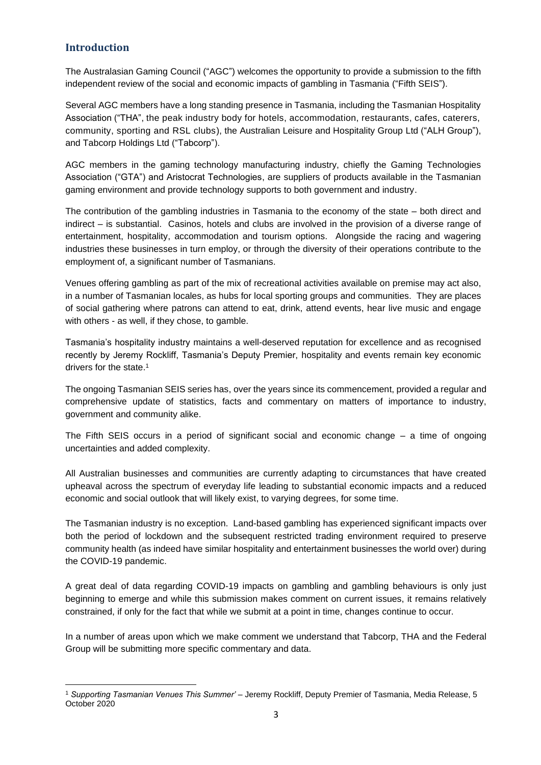# <span id="page-3-0"></span>**Introduction**

The Australasian Gaming Council ("AGC") welcomes the opportunity to provide a submission to the fifth independent review of the social and economic impacts of gambling in Tasmania ("Fifth SEIS").

Several AGC members have a long standing presence in Tasmania, including the Tasmanian Hospitality Association ("THA", the peak industry body for hotels, accommodation, restaurants, cafes, caterers, community, sporting and RSL clubs), the Australian Leisure and Hospitality Group Ltd ("ALH Group"), and Tabcorp Holdings Ltd ("Tabcorp").

AGC members in the gaming technology manufacturing industry, chiefly the Gaming Technologies Association ("GTA") and Aristocrat Technologies, are suppliers of products available in the Tasmanian gaming environment and provide technology supports to both government and industry.

The contribution of the gambling industries in Tasmania to the economy of the state – both direct and indirect – is substantial. Casinos, hotels and clubs are involved in the provision of a diverse range of entertainment, hospitality, accommodation and tourism options. Alongside the racing and wagering industries these businesses in turn employ, or through the diversity of their operations contribute to the employment of, a significant number of Tasmanians.

Venues offering gambling as part of the mix of recreational activities available on premise may act also, in a number of Tasmanian locales, as hubs for local sporting groups and communities. They are places of social gathering where patrons can attend to eat, drink, attend events, hear live music and engage with others - as well, if they chose, to gamble.

Tasmania's hospitality industry maintains a well-deserved reputation for excellence and as recognised recently by Jeremy Rockliff, Tasmania's Deputy Premier, hospitality and events remain key economic drivers for the state.<sup>1</sup>

The ongoing Tasmanian SEIS series has, over the years since its commencement, provided a regular and comprehensive update of statistics, facts and commentary on matters of importance to industry, government and community alike.

The Fifth SEIS occurs in a period of significant social and economic change – a time of ongoing uncertainties and added complexity.

All Australian businesses and communities are currently adapting to circumstances that have created upheaval across the spectrum of everyday life leading to substantial economic impacts and a reduced economic and social outlook that will likely exist, to varying degrees, for some time.

The Tasmanian industry is no exception. Land-based gambling has experienced significant impacts over both the period of lockdown and the subsequent restricted trading environment required to preserve community health (as indeed have similar hospitality and entertainment businesses the world over) during the COVID-19 pandemic.

A great deal of data regarding COVID-19 impacts on gambling and gambling behaviours is only just beginning to emerge and while this submission makes comment on current issues, it remains relatively constrained, if only for the fact that while we submit at a point in time, changes continue to occur.

In a number of areas upon which we make comment we understand that Tabcorp, THA and the Federal Group will be submitting more specific commentary and data.

<sup>1</sup> *Supporting Tasmanian Venues This Summer'* – Jeremy Rockliff, Deputy Premier of Tasmania, Media Release, 5 October 2020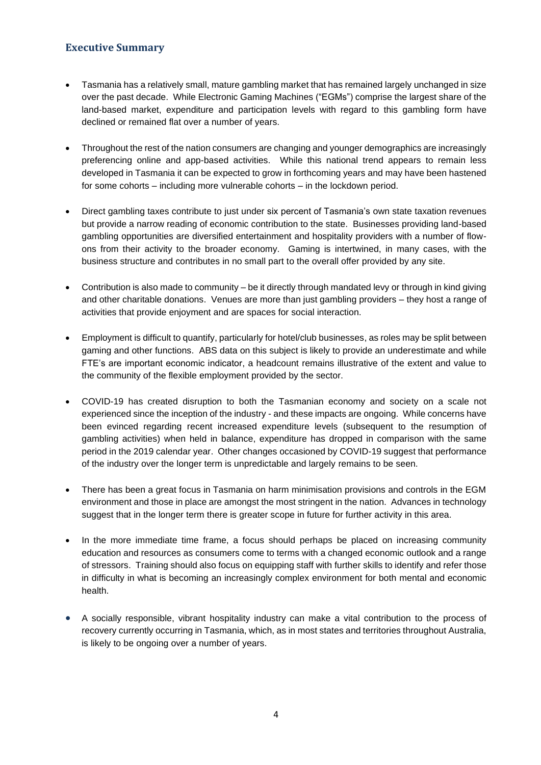# <span id="page-4-0"></span>**Executive Summary**

- Tasmania has a relatively small, mature gambling market that has remained largely unchanged in size over the past decade. While Electronic Gaming Machines ("EGMs") comprise the largest share of the land-based market, expenditure and participation levels with regard to this gambling form have declined or remained flat over a number of years.
- Throughout the rest of the nation consumers are changing and younger demographics are increasingly preferencing online and app-based activities. While this national trend appears to remain less developed in Tasmania it can be expected to grow in forthcoming years and may have been hastened for some cohorts – including more vulnerable cohorts – in the lockdown period.
- Direct gambling taxes contribute to just under six percent of Tasmania's own state taxation revenues but provide a narrow reading of economic contribution to the state. Businesses providing land-based gambling opportunities are diversified entertainment and hospitality providers with a number of flowons from their activity to the broader economy. Gaming is intertwined, in many cases, with the business structure and contributes in no small part to the overall offer provided by any site.
- Contribution is also made to community be it directly through mandated levy or through in kind giving and other charitable donations. Venues are more than just gambling providers – they host a range of activities that provide enjoyment and are spaces for social interaction.
- Employment is difficult to quantify, particularly for hotel/club businesses, as roles may be split between gaming and other functions. ABS data on this subject is likely to provide an underestimate and while FTE's are important economic indicator, a headcount remains illustrative of the extent and value to the community of the flexible employment provided by the sector.
- COVID-19 has created disruption to both the Tasmanian economy and society on a scale not experienced since the inception of the industry - and these impacts are ongoing. While concerns have been evinced regarding recent increased expenditure levels (subsequent to the resumption of gambling activities) when held in balance, expenditure has dropped in comparison with the same period in the 2019 calendar year. Other changes occasioned by COVID-19 suggest that performance of the industry over the longer term is unpredictable and largely remains to be seen.
- There has been a great focus in Tasmania on harm minimisation provisions and controls in the EGM environment and those in place are amongst the most stringent in the nation. Advances in technology suggest that in the longer term there is greater scope in future for further activity in this area.
- In the more immediate time frame, a focus should perhaps be placed on increasing community education and resources as consumers come to terms with a changed economic outlook and a range of stressors. Training should also focus on equipping staff with further skills to identify and refer those in difficulty in what is becoming an increasingly complex environment for both mental and economic health.
- A socially responsible, vibrant hospitality industry can make a vital contribution to the process of recovery currently occurring in Tasmania, which, as in most states and territories throughout Australia, is likely to be ongoing over a number of years.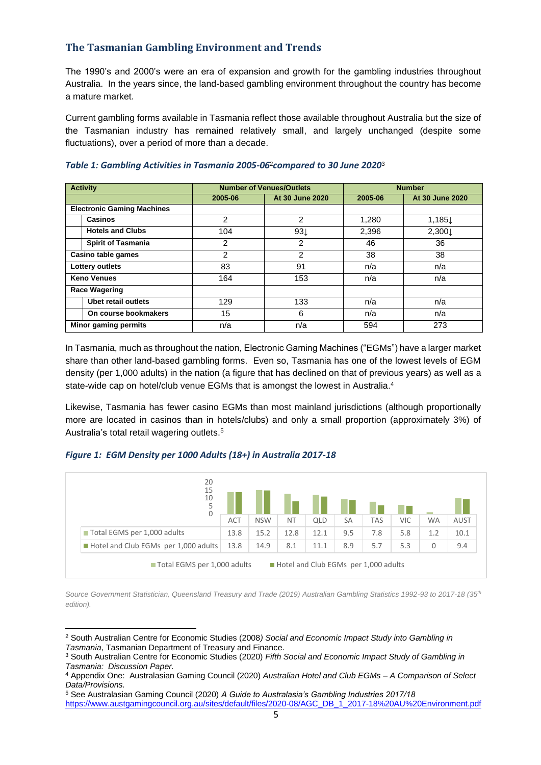# <span id="page-5-0"></span>**The Tasmanian Gambling Environment and Trends**

The 1990's and 2000's were an era of expansion and growth for the gambling industries throughout Australia. In the years since, the land-based gambling environment throughout the country has become a mature market.

Current gambling forms available in Tasmania reflect those available throughout Australia but the size of the Tasmanian industry has remained relatively small, and largely unchanged (despite some fluctuations), over a period of more than a decade.

| <b>Activity</b>                   |                           |         | <b>Number of Venues/Outlets</b> | <b>Number</b> |                 |  |  |
|-----------------------------------|---------------------------|---------|---------------------------------|---------------|-----------------|--|--|
|                                   |                           | 2005-06 | At 30 June 2020                 | 2005-06       | At 30 June 2020 |  |  |
| <b>Electronic Gaming Machines</b> |                           |         |                                 |               |                 |  |  |
| <b>Casinos</b>                    |                           | 2       | $\overline{2}$                  | 1.280         | 1,185↓          |  |  |
|                                   | <b>Hotels and Clubs</b>   | 104     | $93\downarrow$                  | 2,396         | 2,300↓          |  |  |
|                                   | <b>Spirit of Tasmania</b> | 2       | 2                               | 46            | 36              |  |  |
| Casino table games                |                           | 2       | 2                               | 38            | 38              |  |  |
| Lottery outlets                   |                           | 83      | 91                              | n/a           | n/a             |  |  |
| <b>Keno Venues</b>                |                           | 164     | 153                             | n/a           | n/a             |  |  |
| <b>Race Wagering</b>              |                           |         |                                 |               |                 |  |  |
| <b>Ubet retail outlets</b>        |                           | 129     | 133                             | n/a           | n/a             |  |  |
| On course bookmakers              |                           | 15      | 6                               | n/a           | n/a             |  |  |
| <b>Minor gaming permits</b>       |                           | n/a     | n/a                             | 594           | 273             |  |  |

#### <span id="page-5-1"></span>*Table 1: Gambling Activities in Tasmania 2005-06*2*compared to 30 June 2020*<sup>3</sup>

In Tasmania, much as throughout the nation, Electronic Gaming Machines ("EGMs") have a larger market share than other land-based gambling forms. Even so, Tasmania has one of the lowest levels of EGM density (per 1,000 adults) in the nation (a figure that has declined on that of previous years) as well as a state-wide cap on hotel/club venue EGMs that is amongst the lowest in Australia.<sup>4</sup>

Likewise, Tasmania has fewer casino EGMs than most mainland jurisdictions (although proportionally more are located in casinos than in hotels/clubs) and only a small proportion (approximately 3%) of Australia's total retail wagering outlets.<sup>5</sup>

#### <span id="page-5-2"></span>*Figure 1: EGM Density per 1000 Adults (18+) in Australia 2017-18*



*Source Government Statistician, Queensland Treasury and Trade (2019) Australian Gambling Statistics 1992-93 to 2017-18 (35th edition).* 

<sup>2</sup> South Australian Centre for Economic Studies (2008*) Social and Economic Impact Study into Gambling in Tasmania*, Tasmanian Department of Treasury and Finance.

<sup>3</sup> South Australian Centre for Economic Studies (2020) *Fifth Social and Economic Impact Study of Gambling in Tasmania: Discussion Paper.*

<sup>4</sup> Appendix One: Australasian Gaming Council (2020) *Australian Hotel and Club EGMs* – *A Comparison of Select Data/Provisions.*

<sup>5</sup> See Australasian Gaming Council (2020) *A Guide to Australasia's Gambling Industries 2017/18* [https://www.austgamingcouncil.org.au/sites/default/files/2020-08/AGC\\_DB\\_1\\_2017-18%20AU%20Environment.pdf](https://www.austgamingcouncil.org.au/sites/default/files/2020-08/AGC_DB_1_2017-18%20AU%20Environment.pdf)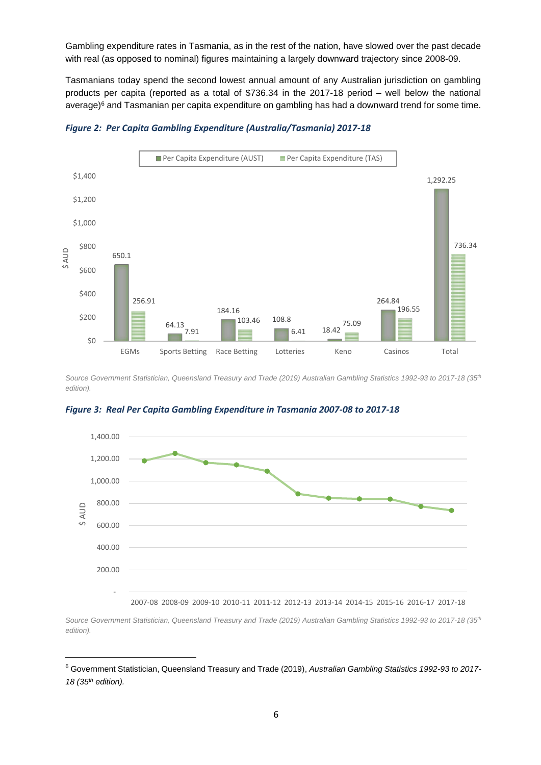Gambling expenditure rates in Tasmania, as in the rest of the nation, have slowed over the past decade with real (as opposed to nominal) figures maintaining a largely downward trajectory since 2008-09.

Tasmanians today spend the second lowest annual amount of any Australian jurisdiction on gambling products per capita (reported as a total of \$736.34 in the 2017-18 period – well below the national average) <sup>6</sup> and Tasmanian per capita expenditure on gambling has had a downward trend for some time.



<span id="page-6-0"></span>*Figure 2: Per Capita Gambling Expenditure (Australia/Tasmania) 2017-18*

*Source Government Statistician, Queensland Treasury and Trade (2019) Australian Gambling Statistics 1992-93 to 2017-18 (35th edition).* 



<span id="page-6-1"></span>*Figure 3: Real Per Capita Gambling Expenditure in Tasmania 2007-08 to 2017-18*

2007-08 2008-09 2009-10 2010-11 2011-12 2012-13 2013-14 2014-15 2015-16 2016-17 2017-18

*Source Government Statistician, Queensland Treasury and Trade (2019) Australian Gambling Statistics 1992-93 to 2017-18 (35th edition).* 

<sup>6</sup> Government Statistician, Queensland Treasury and Trade (2019), *Australian Gambling Statistics 1992-93 to 2017- 18 (35th edition).*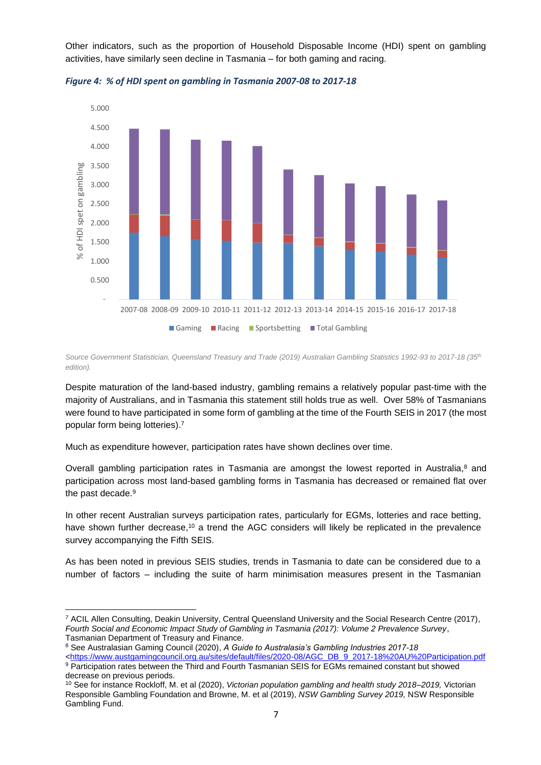Other indicators, such as the proportion of Household Disposable Income (HDI) spent on gambling activities, have similarly seen decline in Tasmania – for both gaming and racing.



<span id="page-7-0"></span>*Figure 4: % of HDI spent on gambling in Tasmania 2007-08 to 2017-18*

*Source Government Statistician, Queensland Treasury and Trade (2019) Australian Gambling Statistics 1992-93 to 2017-18 (35th edition).* 

Despite maturation of the land-based industry, gambling remains a relatively popular past-time with the majority of Australians, and in Tasmania this statement still holds true as well. Over 58% of Tasmanians were found to have participated in some form of gambling at the time of the Fourth SEIS in 2017 (the most popular form being lotteries). 7

Much as expenditure however, participation rates have shown declines over time.

Overall gambling participation rates in Tasmania are amongst the lowest reported in Australia,<sup>8</sup> and participation across most land-based gambling forms in Tasmania has decreased or remained flat over the past decade. 9

In other recent Australian surveys participation rates, particularly for EGMs, lotteries and race betting, have shown further decrease,<sup>10</sup> a trend the AGC considers will likely be replicated in the prevalence survey accompanying the Fifth SEIS.

As has been noted in previous SEIS studies, trends in Tasmania to date can be considered due to a number of factors – including the suite of harm minimisation measures present in the Tasmanian

<sup>8</sup> See Australasian Gaming Council (2020), *A Guide to Australasia's Gambling Industries 2017-18*

<sup>7</sup> ACIL Allen Consulting, Deakin University, Central Queensland University and the Social Research Centre (2017), *Fourth Social and Economic Impact Study of Gambling in Tasmania (2017): Volume 2 Prevalence Survey*, Tasmanian Department of Treasury and Finance.

[<sup>&</sup>lt;https://www.austgamingcouncil.org.au/sites/default/files/2020-08/AGC\\_DB\\_9\\_2017-18%20AU%20Participation.pdf](https://www.austgamingcouncil.org.au/sites/default/files/2020-08/AGC_DB_9_2017-18%20AU%20Participation.pdf) 9 Participation rates between the Third and Fourth Tasmanian SEIS for EGMs remained constant but showed decrease on previous periods.

<sup>10</sup> See for instance Rockloff, M. et al (2020), *Victorian population gambling and health study 2018–2019,* Victorian Responsible Gambling Foundation and Browne, M. et al (2019), *NSW Gambling Survey 2019,* NSW Responsible Gambling Fund.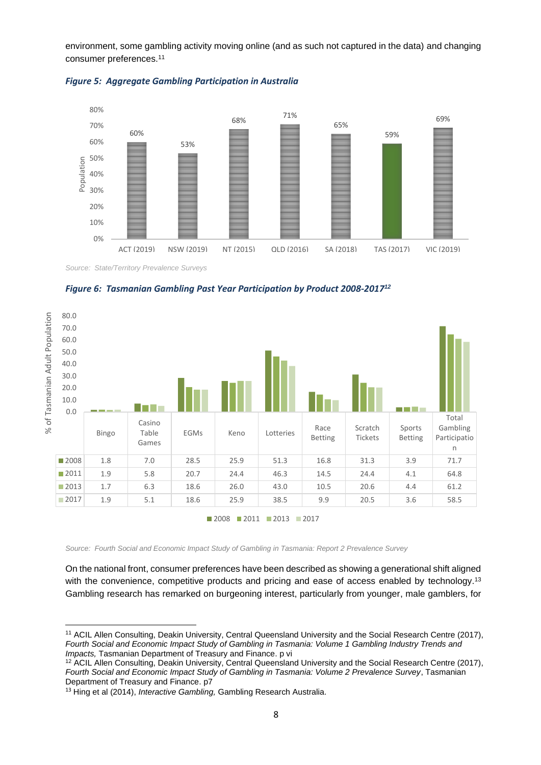environment, some gambling activity moving online (and as such not captured in the data) and changing consumer preferences.<sup>11</sup>



<span id="page-8-0"></span>

*Source: State/Territory Prevalence Surveys*

<span id="page-8-1"></span>



*Source: Fourth Social and Economic Impact Study of Gambling in Tasmania: Report 2 Prevalence Survey*

On the national front, consumer preferences have been described as showing a generational shift aligned with the convenience, competitive products and pricing and ease of access enabled by technology.<sup>13</sup> Gambling research has remarked on burgeoning interest, particularly from younger, male gamblers, for

<sup>11</sup> ACIL Allen Consulting, Deakin University, Central Queensland University and the Social Research Centre (2017), *Fourth Social and Economic Impact Study of Gambling in Tasmania: Volume 1 Gambling Industry Trends and Impacts,* Tasmanian Department of Treasury and Finance. p vi

<sup>&</sup>lt;sup>12</sup> ACIL Allen Consulting, Deakin University, Central Queensland University and the Social Research Centre (2017), *Fourth Social and Economic Impact Study of Gambling in Tasmania: Volume 2 Prevalence Survey*, Tasmanian Department of Treasury and Finance. p7

<sup>&</sup>lt;sup>13</sup> Hing et al (2014), *Interactive Gambling*, Gambling Research Australia.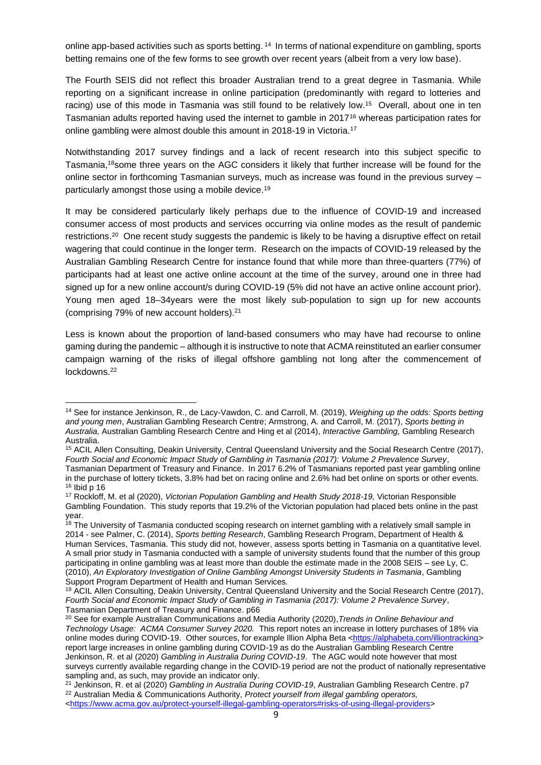online app-based activities such as sports betting. <sup>14</sup> In terms of national expenditure on gambling, sports betting remains one of the few forms to see growth over recent years (albeit from a very low base).

The Fourth SEIS did not reflect this broader Australian trend to a great degree in Tasmania. While reporting on a significant increase in online participation (predominantly with regard to lotteries and racing) use of this mode in Tasmania was still found to be relatively low.<sup>15</sup> Overall, about one in ten Tasmanian adults reported having used the internet to gamble in 2017<sup>16</sup> whereas participation rates for online gambling were almost double this amount in 2018-19 in Victoria.<sup>17</sup>

Notwithstanding 2017 survey findings and a lack of recent research into this subject specific to Tasmania,<sup>18</sup>some three years on the AGC considers it likely that further increase will be found for the online sector in forthcoming Tasmanian surveys, much as increase was found in the previous survey – particularly amongst those using a mobile device.<sup>19</sup>

It may be considered particularly likely perhaps due to the influence of COVID-19 and increased consumer access of most products and services occurring via online modes as the result of pandemic restrictions.<sup>20</sup> One recent study suggests the pandemic is likely to be having a disruptive effect on retail wagering that could continue in the longer term. Research on the impacts of COVID-19 released by the Australian Gambling Research Centre for instance found that while more than three‑quarters (77%) of participants had at least one active online account at the time of the survey, around one in three had signed up for a new online account/s during COVID-19 (5% did not have an active online account prior). Young men aged 18–34years were the most likely sub-population to sign up for new accounts (comprising 79% of new account holders).<sup>21</sup>

Less is known about the proportion of land-based consumers who may have had recourse to online gaming during the pandemic – although it is instructive to note that ACMA reinstituted an earlier consumer campaign warning of the risks of illegal offshore gambling not long after the commencement of lockdowns.<sup>22</sup>

<sup>14</sup> See for instance Jenkinson, R., de Lacy-Vawdon, C. and Carroll, M. (2019), *Weighing up the odds: Sports betting and young men*, Australian Gambling Research Centre; Armstrong, A. and Carroll, M. (2017), *Sports betting in Australia,* Australian Gambling Research Centre and Hing et al (2014), *Interactive Gambling,* Gambling Research Australia.

<sup>15</sup> ACIL Allen Consulting, Deakin University, Central Queensland University and the Social Research Centre (2017), *Fourth Social and Economic Impact Study of Gambling in Tasmania (2017): Volume 2 Prevalence Survey*, Tasmanian Department of Treasury and Finance. In 2017 6.2% of Tasmanians reported past year gambling online in the purchase of lottery tickets, 3.8% had bet on racing online and 2.6% had bet online on sports or other events.  $16$  Ibid p  $16$ 

<sup>17</sup> Rockloff, M. et al (2020), *Victorian Population Gambling and Health Study 2018-19,* Victorian Responsible Gambling Foundation. This study reports that 19.2% of the Victorian population had placed bets online in the past year.

<sup>&</sup>lt;sup>18</sup> The University of Tasmania conducted scoping research on internet gambling with a relatively small sample in 2014 - see Palmer, C. (2014), *Sports betting Research*, Gambling Research Program, Department of Health & Human Services, Tasmania. This study did not, however, assess sports betting in Tasmania on a quantitative level. A small prior study in Tasmania conducted with a sample of university students found that the number of this group participating in online gambling was at least more than double the estimate made in the 2008 SEIS – see Ly, C. (2010), *An Exploratory Investigation of Online Gambling Amongst University Students in Tasmania*, Gambling Support Program Department of Health and Human Services.

<sup>&</sup>lt;sup>19</sup> ACIL Allen Consulting, Deakin University, Central Queensland University and the Social Research Centre (2017), *Fourth Social and Economic Impact Study of Gambling in Tasmania (2017): Volume 2 Prevalence Survey*, Tasmanian Department of Treasury and Finance. p66

<sup>20</sup> See for example Australian Communications and Media Authority (2020),*Trends in Online Behaviour and Technology Usage: ACMA Consumer Survey 2020.* This report notes an increase in lottery purchases of 18% via online modes during COVID-19. Other sources, for example Illion Alpha Beta [<https://alphabeta.com/illiontracking>](https://alphabeta.com/illiontracking) report large increases in online gambling during COVID-19 as do the Australian Gambling Research Centre Jenkinson, R. et al (2020) *Gambling in Australia During COVID-19*. The AGC would note however that most surveys currently available regarding change in the COVID-19 period are not the product of nationally representative sampling and, as such, may provide an indicator only.

<sup>21</sup> Jenkinson, R. et al (2020) *Gambling in Australia During COVID-19*, Australian Gambling Research Centre. p7 <sup>22</sup> Australian Media & Communications Authority, *Protect yourself from illegal gambling operators,* [<https://www.acma.gov.au/protect-yourself-illegal-gambling-operators#risks-of-using-illegal-providers>](https://www.acma.gov.au/protect-yourself-illegal-gambling-operators#risks-of-using-illegal-providers)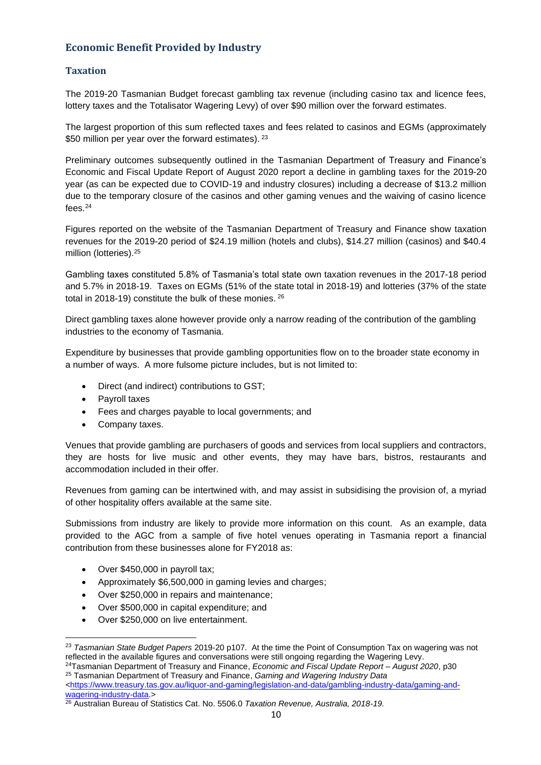# <span id="page-10-0"></span>**Economic Benefit Provided by Industry**

#### <span id="page-10-1"></span>**Taxation**

The 2019-20 Tasmanian Budget forecast gambling tax revenue (including casino tax and licence fees, lottery taxes and the Totalisator Wagering Levy) of over \$90 million over the forward estimates.

The largest proportion of this sum reflected taxes and fees related to casinos and EGMs (approximately \$50 million per year over the forward estimates). <sup>23</sup>

Preliminary outcomes subsequently outlined in the Tasmanian Department of Treasury and Finance's Economic and Fiscal Update Report of August 2020 report a decline in gambling taxes for the 2019-20 year (as can be expected due to COVID-19 and industry closures) including a decrease of \$13.2 million due to the temporary closure of the casinos and other gaming venues and the waiving of casino licence fees. 24

Figures reported on the website of the Tasmanian Department of Treasury and Finance show taxation revenues for the 2019-20 period of \$24.19 million (hotels and clubs), \$14.27 million (casinos) and \$40.4 million (lotteries).<sup>25</sup>

Gambling taxes constituted 5.8% of Tasmania's total state own taxation revenues in the 2017-18 period and 5.7% in 2018-19. Taxes on EGMs (51% of the state total in 2018-19) and lotteries (37% of the state total in 2018-19) constitute the bulk of these monies. <sup>26</sup>

Direct gambling taxes alone however provide only a narrow reading of the contribution of the gambling industries to the economy of Tasmania.

Expenditure by businesses that provide gambling opportunities flow on to the broader state economy in a number of ways. A more fulsome picture includes, but is not limited to:

- Direct (and indirect) contributions to GST;
- Payroll taxes
- Fees and charges payable to local governments; and
- Company taxes.

Venues that provide gambling are purchasers of goods and services from local suppliers and contractors, they are hosts for live music and other events, they may have bars, bistros, restaurants and accommodation included in their offer.

Revenues from gaming can be intertwined with, and may assist in subsidising the provision of, a myriad of other hospitality offers available at the same site.

Submissions from industry are likely to provide more information on this count. As an example, data provided to the AGC from a sample of five hotel venues operating in Tasmania report a financial contribution from these businesses alone for FY2018 as:

- Over \$450,000 in payroll tax;
- Approximately \$6,500,000 in gaming levies and charges;
- Over \$250,000 in repairs and maintenance;
- Over \$500,000 in capital expenditure; and
- Over \$250,000 on live entertainment.

<sup>23</sup> *Tasmanian State Budget Papers* 2019-20 p107. At the time the Point of Consumption Tax on wagering was not reflected in the available figures and conversations were still ongoing regarding the Wagering Levy.

<sup>24</sup>Tasmanian Department of Treasury and Finance, *Economic and Fiscal Update Report – August 2020*, p30 <sup>25</sup> Tasmanian Department of Treasury and Finance, *Gaming and Wagering Industry Data*

*<sup>&</sup>lt;*[https://www.treasury.tas.gov.au/liquor-and-gaming/legislation-and-data/gambling-industry-data/gaming-and](https://www.treasury.tas.gov.au/liquor-and-gaming/legislation-and-data/gambling-industry-data/gaming-and-wagering-industry-data)[wagering-industry-data.](https://www.treasury.tas.gov.au/liquor-and-gaming/legislation-and-data/gambling-industry-data/gaming-and-wagering-industry-data)>

<sup>26</sup> Australian Bureau of Statistics Cat. No. 5506.0 *Taxation Revenue, Australia, 2018-19.*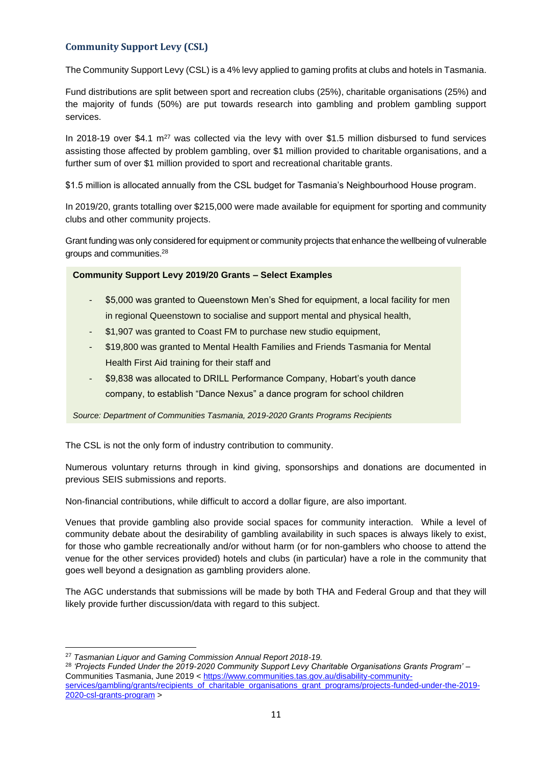# <span id="page-11-0"></span>**Community Support Levy (CSL)**

The Community Support Levy (CSL) is a 4% levy applied to gaming profits at clubs and hotels in Tasmania.

Fund distributions are split between sport and recreation clubs (25%), charitable organisations (25%) and the majority of funds (50%) are put towards research into gambling and problem gambling support services.

In 2018-19 over \$4.1  $m^{27}$  was collected via the levy with over \$1.5 million disbursed to fund services assisting those affected by problem gambling, over \$1 million provided to charitable organisations, and a further sum of over \$1 million provided to sport and recreational charitable grants.

\$1.5 million is allocated annually from the CSL budget for Tasmania's Neighbourhood House program.

In 2019/20, grants totalling over \$215,000 were made available for equipment for sporting and community clubs and other community projects.

Grant funding was only considered for equipment or community projects that enhance the wellbeing of vulnerable groups and communities.<sup>28</sup>

#### **Community Support Levy 2019/20 Grants – Select Examples. And valuable in the funds to community Support Levy 2019/20 Grants – Select Examples**

- \$5,000 was granted to Queenstown Men's Shed for equipment, a local facility for men in regional Queenstown to socialise and support mental and physical health,
- \$1,907 was granted to Coast FM to purchase new studio equipment,
- \$19,800 was granted to Mental Health Families and Friends Tasmania for Mental Health First Aid training for their staff and
- \$9,838 was allocated to DRILL Performance Company, Hobart's youth dance company, to establish "Dance Nexus" a dance program for school children

*Source: Department of Communities Tasmania, 2019-2020 Grants Programs Recipients*

The CSL is not the only form of industry contribution to community.

Numerous voluntary returns through in kind giving, sponsorships and donations are documented in previous SEIS submissions and reports.

Non-financial contributions, while difficult to accord a dollar figure, are also important.

Venues that provide gambling also provide social spaces for community interaction. While a level of community debate about the desirability of gambling availability in such spaces is always likely to exist, for those who gamble recreationally and/or without harm (or for non-gamblers who choose to attend the venue for the other services provided) hotels and clubs (in particular) have a role in the community that goes well beyond a designation as gambling providers alone.

The AGC understands that submissions will be made by both THA and Federal Group and that they will likely provide further discussion/data with regard to this subject.

<sup>27</sup> *Tasmanian Liquor and Gaming Commission Annual Report 2018-19.*

<sup>28</sup> *'Projects Funded Under the 2019-2020 Community Support Levy Charitable Organisations Grants Program'* – Communities Tasmania, June 2019 < [https://www.communities.tas.gov.au/disability-community](https://www.communities.tas.gov.au/disability-community-services/gambling/grants/recipients_of_charitable_organisations_grant_programs/projects-funded-under-the-2019-2020-csl-grants-program)[services/gambling/grants/recipients\\_of\\_charitable\\_organisations\\_grant\\_programs/projects-funded-under-the-2019-](https://www.communities.tas.gov.au/disability-community-services/gambling/grants/recipients_of_charitable_organisations_grant_programs/projects-funded-under-the-2019-2020-csl-grants-program) [2020-csl-grants-program](https://www.communities.tas.gov.au/disability-community-services/gambling/grants/recipients_of_charitable_organisations_grant_programs/projects-funded-under-the-2019-2020-csl-grants-program) >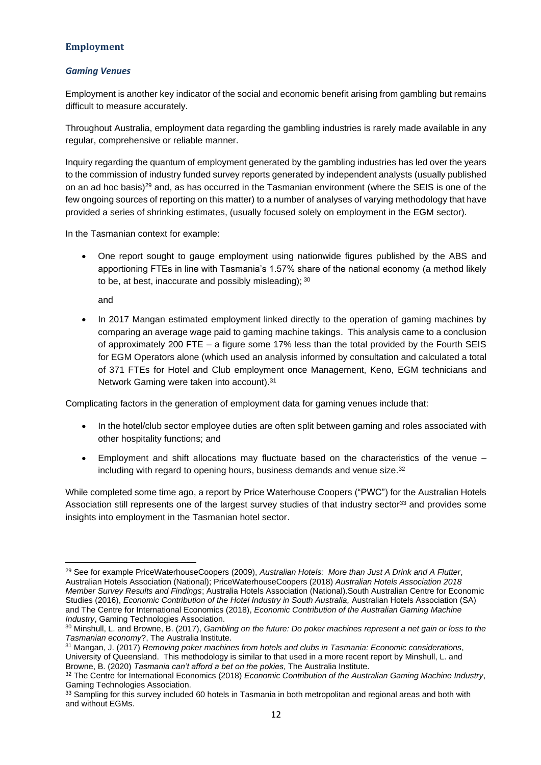#### <span id="page-12-0"></span>**Employment**

#### <span id="page-12-1"></span>*Gaming Venues*

Employment is another key indicator of the social and economic benefit arising from gambling but remains difficult to measure accurately.

Throughout Australia, employment data regarding the gambling industries is rarely made available in any regular, comprehensive or reliable manner.

Inquiry regarding the quantum of employment generated by the gambling industries has led over the years to the commission of industry funded survey reports generated by independent analysts (usually published on an ad hoc basis)<sup>29</sup> and, as has occurred in the Tasmanian environment (where the SEIS is one of the few ongoing sources of reporting on this matter) to a number of analyses of varying methodology that have provided a series of shrinking estimates, (usually focused solely on employment in the EGM sector).

In the Tasmanian context for example:

• One report sought to gauge employment using nationwide figures published by the ABS and apportioning FTEs in line with Tasmania's 1.57% share of the national economy (a method likely to be, at best, inaccurate and possibly misleading); 30

and

• In 2017 Mangan estimated employment linked directly to the operation of gaming machines by comparing an average wage paid to gaming machine takings. This analysis came to a conclusion of approximately 200 FTE – a figure some 17% less than the total provided by the Fourth SEIS for EGM Operators alone (which used an analysis informed by consultation and calculated a total of 371 FTEs for Hotel and Club employment once Management, Keno, EGM technicians and Network Gaming were taken into account). 31

Complicating factors in the generation of employment data for gaming venues include that:

- In the hotel/club sector employee duties are often split between gaming and roles associated with other hospitality functions; and
- Employment and shift allocations may fluctuate based on the characteristics of the venue including with regard to opening hours, business demands and venue size.<sup>32</sup>

While completed some time ago, a report by Price Waterhouse Coopers ("PWC") for the Australian Hotels Association still represents one of the largest survey studies of that industry sector<sup>33</sup> and provides some insights into employment in the Tasmanian hotel sector.

<sup>29</sup> See for example PriceWaterhouseCoopers (2009), *Australian Hotels: More than Just A Drink and A Flutter*, Australian Hotels Association (National); PriceWaterhouseCoopers (2018) *Australian Hotels Association 2018 Member Survey Results and Findings*; Australia Hotels Association (National).South Australian Centre for Economic Studies (2016), *Economic Contribution of the Hotel Industry in South Australia*, Australian Hotels Association (SA) and The Centre for International Economics (2018), *Economic Contribution of the Australian Gaming Machine Industry*, Gaming Technologies Association.

<sup>30</sup> Minshull, L. and Browne, B. (2017), *Gambling on the future: Do poker machines represent a net gain or loss to the Tasmanian economy*?, The Australia Institute.

<sup>31</sup> Mangan, J. (2017) *Removing poker machines from hotels and clubs in Tasmania: Economic considerations*, University of Queensland. This methodology is similar to that used in a more recent report by Minshull, L. and Browne, B. (2020) *Tasmania can't afford a bet on the pokies,* The Australia Institute.

<sup>&</sup>lt;sup>32</sup> The Centre for International Economics (2018) *Economic Contribution of the Australian Gaming Machine Industry*, Gaming Technologies Association.

<sup>33</sup> Sampling for this survey included 60 hotels in Tasmania in both metropolitan and regional areas and both with and without EGMs.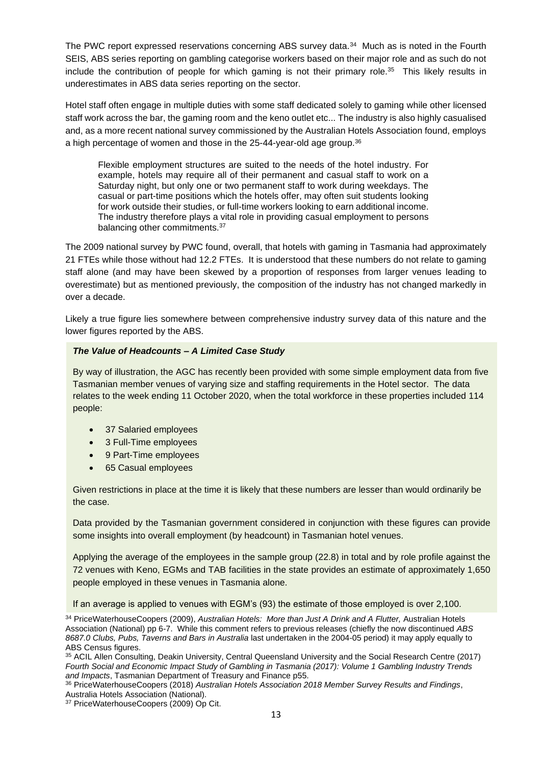The PWC report expressed reservations concerning ABS survey data.<sup>34</sup> Much as is noted in the Fourth SEIS, ABS series reporting on gambling categorise workers based on their major role and as such do not include the contribution of people for which gaming is not their primary role.<sup>35</sup> This likely results in underestimates in ABS data series reporting on the sector.

Hotel staff often engage in multiple duties with some staff dedicated solely to gaming while other licensed staff work across the bar, the gaming room and the keno outlet etc... The industry is also highly casualised and, as a more recent national survey commissioned by the Australian Hotels Association found, employs a high percentage of women and those in the 25-44-year-old age group.<sup>36</sup>

Flexible employment structures are suited to the needs of the hotel industry. For example, hotels may require all of their permanent and casual staff to work on a Saturday night, but only one or two permanent staff to work during weekdays. The casual or part-time positions which the hotels offer, may often suit students looking for work outside their studies, or full-time workers looking to earn additional income. The industry therefore plays a vital role in providing casual employment to persons balancing other commitments.<sup>37</sup>

The 2009 national survey by PWC found, overall, that hotels with gaming in Tasmania had approximately 21 FTEs while those without had 12.2 FTEs. It is understood that these numbers do not relate to gaming staff alone (and may have been skewed by a proportion of responses from larger venues leading to overestimate) but as mentioned previously, the composition of the industry has not changed markedly in over a decade.

Likely a true figure lies somewhere between comprehensive industry survey data of this nature and the lower figures reported by the ABS.

#### *The Value of Headcounts – A Limited Case Study*

By way of illustration, the AGC has recently been provided with some simple employment data from five Tasmanian member venues of varying size and staffing requirements in the Hotel sector. The data relates to the week ending 11 October 2020, when the total workforce in these properties included 114 people:

- 37 Salaried employees
- 3 Full-Time employees
- 9 Part-Time employees
- 65 Casual employees

Given restrictions in place at the time it is likely that these numbers are lesser than would ordinarily be the case.

Data provided by the Tasmanian government considered in conjunction with these figures can provide some insights into overall employment (by headcount) in Tasmanian hotel venues.

Applying the average of the employees in the sample group (22.8) in total and by role profile against the 72 venues with Keno, EGMs and TAB facilities in the state provides an estimate of approximately 1,650 people employed in these venues in Tasmania alone.

If an average is applied to venues with EGM's (93) the estimate of those employed is over 2,100.

<sup>34</sup> PriceWaterhouseCoopers (2009), *Australian Hotels: More than Just A Drink and A Flutter,* Australian Hotels Association (National) pp 6-7. While this comment refers to previous releases (chiefly the now discontinued *ABS 8687.0 Clubs, Pubs, Taverns and Bars in Australia* last undertaken in the 2004-05 period) it may apply equally to ABS Census figures.

35 ACIL Allen Consulting, Deakin University, Central Queensland University and the Social Research Centre (2017) *Fourth Social and Economic Impact Study of Gambling in Tasmania (2017): Volume 1 Gambling Industry Trends and Impacts*, Tasmanian Department of Treasury and Finance p55.

<sup>36</sup> PriceWaterhouseCoopers (2018) *Australian Hotels Association 2018 Member Survey Results and Findings*, Australia Hotels Association (National).

<sup>37</sup> PriceWaterhouseCoopers (2009) Op Cit.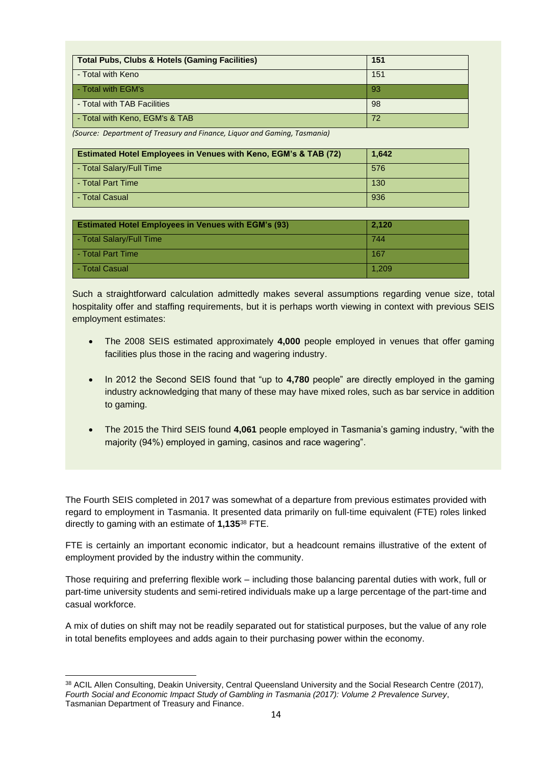| <b>Total Pubs, Clubs &amp; Hotels (Gaming Facilities)</b> | 151 |
|-----------------------------------------------------------|-----|
| - Total with Keno                                         | 151 |
| - Total with EGM's                                        | 93  |
| - Total with TAB Facilities                               | -98 |
| - Total with Keno, EGM's & TAB                            | 72  |

*(Source: Department of Treasury and Finance, Liquor and Gaming, Tasmania)*

| <b>Estimated Hotel Employees in Venues with Keno, EGM's &amp; TAB (72)</b> | 1,642 |
|----------------------------------------------------------------------------|-------|
| - Total Salary/Full Time                                                   | 576   |
| I - Total Part Time                                                        | 130   |
| - Total Casual                                                             | 936   |

| <b>Estimated Hotel Employees in Venues with EGM's (93)</b> | 2.120 |
|------------------------------------------------------------|-------|
| - Total Salary/Full Time                                   | 744   |
| - Total Part Time                                          | 167   |
| I - Total Casual                                           | 1.209 |

Such a straightforward calculation admittedly makes several assumptions regarding venue size, total hospitality offer and staffing requirements, but it is perhaps worth viewing in context with previous SEIS employment estimates:

- The 2008 SEIS estimated approximately **4,000** people employed in venues that offer gaming facilities plus those in the racing and wagering industry.
- In 2012 the Second SEIS found that "up to **4,780** people" are directly employed in the gaming industry acknowledging that many of these may have mixed roles, such as bar service in addition to gaming.
- The 2015 the Third SEIS found **4,061** people employed in Tasmania's gaming industry, "with the majority (94%) employed in gaming, casinos and race wagering".

The Fourth SEIS completed in 2017 was somewhat of a departure from previous estimates provided with regard to employment in Tasmania. It presented data primarily on full-time equivalent (FTE) roles linked directly to gaming with an estimate of **1,135**<sup>38</sup> FTE.

FTE is certainly an important economic indicator, but a headcount remains illustrative of the extent of employment provided by the industry within the community.

Those requiring and preferring flexible work – including those balancing parental duties with work, full or part-time university students and semi-retired individuals make up a large percentage of the part-time and casual workforce.

A mix of duties on shift may not be readily separated out for statistical purposes, but the value of any role in total benefits employees and adds again to their purchasing power within the economy.

<sup>38</sup> ACIL Allen Consulting, Deakin University, Central Queensland University and the Social Research Centre (2017), *Fourth Social and Economic Impact Study of Gambling in Tasmania (2017): Volume 2 Prevalence Survey*, Tasmanian Department of Treasury and Finance.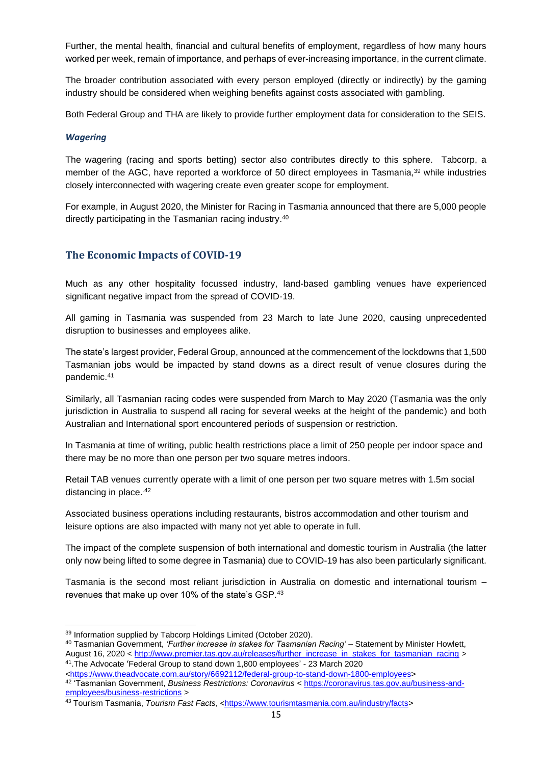Further, the mental health, financial and cultural benefits of employment, regardless of how many hours worked per week, remain of importance, and perhaps of ever-increasing importance, in the current climate.

The broader contribution associated with every person employed (directly or indirectly) by the gaming industry should be considered when weighing benefits against costs associated with gambling.

Both Federal Group and THA are likely to provide further employment data for consideration to the SEIS.

#### <span id="page-15-0"></span>*Wagering*

The wagering (racing and sports betting) sector also contributes directly to this sphere. Tabcorp, a member of the AGC, have reported a workforce of 50 direct employees in Tasmania,<sup>39</sup> while industries closely interconnected with wagering create even greater scope for employment.

For example, in August 2020, the Minister for Racing in Tasmania announced that there are 5,000 people directly participating in the Tasmanian racing industry.<sup>40</sup>

# <span id="page-15-1"></span>**The Economic Impacts of COVID-19**

Much as any other hospitality focussed industry, land-based gambling venues have experienced significant negative impact from the spread of COVID-19.

All gaming in Tasmania was suspended from 23 March to late June 2020, causing unprecedented disruption to businesses and employees alike.

The state's largest provider, Federal Group, announced at the commencement of the lockdowns that 1,500 Tasmanian jobs would be impacted by stand downs as a direct result of venue closures during the pandemic. 41

Similarly, all Tasmanian racing codes were suspended from March to May 2020 (Tasmania was the only jurisdiction in Australia to suspend all racing for several weeks at the height of the pandemic) and both Australian and International sport encountered periods of suspension or restriction.

In Tasmania at time of writing, public health restrictions place a limit of 250 people per indoor space and there may be no more than one person per two square metres indoors.

Retail TAB venues currently operate with a limit of one person per two square metres with 1.5m social distancing in place. 42

Associated business operations including restaurants, bistros accommodation and other tourism and leisure options are also impacted with many not yet able to operate in full.

The impact of the complete suspension of both international and domestic tourism in Australia (the latter only now being lifted to some degree in Tasmania) due to COVID-19 has also been particularly significant.

Tasmania is the second most reliant jurisdiction in Australia on domestic and international tourism – revenues that make up over 10% of the state's GSP.<sup>43</sup>

<sup>39</sup> Information supplied by Tabcorp Holdings Limited (October 2020).

<sup>40</sup> Tasmanian Government, *'Further increase in stakes for Tasmanian Racing'* – Statement by Minister Howlett, August 16, 2020 < [http://www.premier.tas.gov.au/releases/further\\_increase\\_in\\_stakes\\_for\\_tasmanian\\_racing](http://www.premier.tas.gov.au/releases/further_increase_in_stakes_for_tasmanian_racing) > 41 .The Advocate 'Federal Group to stand down 1,800 employees' - 23 March 2020

[<sup>&</sup>lt;https://www.theadvocate.com.au/story/6692112/federal-group-to-stand-down-1800-employees>](https://www.theadvocate.com.au/story/6692112/federal-group-to-stand-down-1800-employees)

<sup>42</sup> 'Tasmanian Government, *Business Restrictions: Coronavirus* [< https://coronavirus.tas.gov.au/business-and](https://coronavirus.tas.gov.au/business-and-employees/business-restrictions)[employees/business-restrictions](https://coronavirus.tas.gov.au/business-and-employees/business-restrictions) >

<sup>&</sup>lt;sup>43</sup> Tourism Tasmania, *Tourism Fast Facts*, <[https://www.tourismtasmania.com.au/industry/facts>](https://www.tourismtasmania.com.au/industry/facts)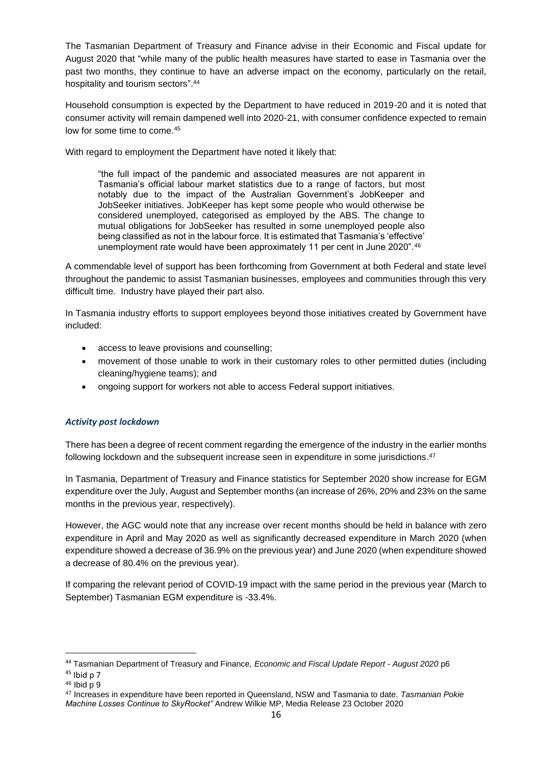The Tasmanian Department of Treasury and Finance advise in their Economic and Fiscal update for August 2020 that "while many of the public health measures have started to ease in Tasmania over the past two months, they continue to have an adverse impact on the economy, particularly on the retail, hospitality and tourism sectors". 44

Household consumption is expected by the Department to have reduced in 2019-20 and it is noted that consumer activity will remain dampened well into 2020-21, with consumer confidence expected to remain low for some time to come.<sup>45</sup>

With regard to employment the Department have noted it likely that:

"the full impact of the pandemic and associated measures are not apparent in Tasmania's official labour market statistics due to a range of factors, but most notably due to the impact of the Australian Government's JobKeeper and JobSeeker initiatives. JobKeeper has kept some people who would otherwise be considered unemployed, categorised as employed by the ABS. The change to mutual obligations for JobSeeker has resulted in some unemployed people also being classified as not in the labour force. It is estimated that Tasmania's 'effective' unemployment rate would have been approximately 11 per cent in June 2020".<sup>46</sup>

A commendable level of support has been forthcoming from Government at both Federal and state level throughout the pandemic to assist Tasmanian businesses, employees and communities through this very difficult time. Industry have played their part also.

In Tasmania industry efforts to support employees beyond those initiatives created by Government have included:

- access to leave provisions and counselling;
- movement of those unable to work in their customary roles to other permitted duties (including cleaning/hygiene teams); and
- ongoing support for workers not able to access Federal support initiatives.

# <span id="page-16-0"></span>*Activity post lockdown*

There has been a degree of recent comment regarding the emergence of the industry in the earlier months following lockdown and the subsequent increase seen in expenditure in some jurisdictions.<sup>47</sup>

In Tasmania, Department of Treasury and Finance statistics for September 2020 show increase for EGM expenditure over the July, August and September months (an increase of 26%, 20% and 23% on the same months in the previous year, respectively).

However, the AGC would note that any increase over recent months should be held in balance with zero expenditure in April and May 2020 as well as significantly decreased expenditure in March 2020 (when expenditure showed a decrease of 36.9% on the previous year) and June 2020 (when expenditure showed a decrease of 80.4% on the previous year).

If comparing the relevant period of COVID-19 impact with the same period in the previous year (March to September) Tasmanian EGM expenditure is -33.4%.

<sup>44</sup> Tasmanian Department of Treasury and Finance, *Economic and Fiscal Update Report - August 2020* p6  $45$  Ibid p 7

<sup>46</sup> Ibid p 9

<sup>47</sup> Increases in expenditure have been reported in Queensland, NSW and Tasmania to date. *Tasmanian Pokie Machine Losses Continue to SkyRocket"* Andrew Wilkie MP, Media Release 23 October 2020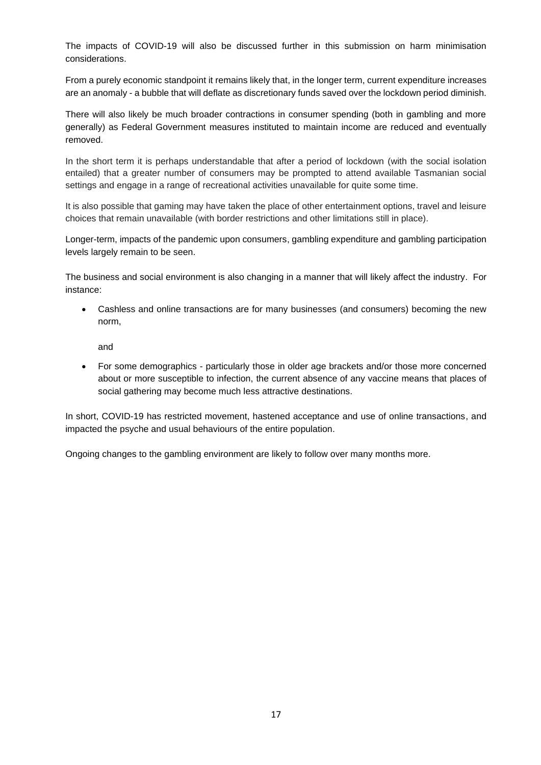The impacts of COVID-19 will also be discussed further in this submission on harm minimisation considerations.

From a purely economic standpoint it remains likely that, in the longer term, current expenditure increases are an anomaly - a bubble that will deflate as discretionary funds saved over the lockdown period diminish.

There will also likely be much broader contractions in consumer spending (both in gambling and more generally) as Federal Government measures instituted to maintain income are reduced and eventually removed.

In the short term it is perhaps understandable that after a period of lockdown (with the social isolation entailed) that a greater number of consumers may be prompted to attend available Tasmanian social settings and engage in a range of recreational activities unavailable for quite some time.

It is also possible that gaming may have taken the place of other entertainment options, travel and leisure choices that remain unavailable (with border restrictions and other limitations still in place).

Longer-term, impacts of the pandemic upon consumers, gambling expenditure and gambling participation levels largely remain to be seen.

The business and social environment is also changing in a manner that will likely affect the industry. For instance:

• Cashless and online transactions are for many businesses (and consumers) becoming the new norm,

and

• For some demographics - particularly those in older age brackets and/or those more concerned about or more susceptible to infection, the current absence of any vaccine means that places of social gathering may become much less attractive destinations.

In short, COVID-19 has restricted movement, hastened acceptance and use of online transactions, and impacted the psyche and usual behaviours of the entire population.

Ongoing changes to the gambling environment are likely to follow over many months more.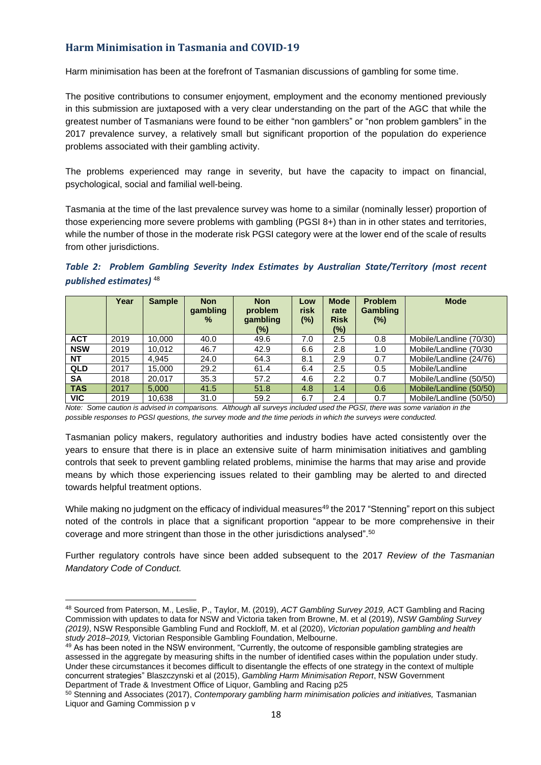# <span id="page-18-0"></span>**Harm Minimisation in Tasmania and COVID-19**

Harm minimisation has been at the forefront of Tasmanian discussions of gambling for some time.

The positive contributions to consumer enjoyment, employment and the economy mentioned previously in this submission are juxtaposed with a very clear understanding on the part of the AGC that while the greatest number of Tasmanians were found to be either "non gamblers" or "non problem gamblers" in the 2017 prevalence survey, a relatively small but significant proportion of the population do experience problems associated with their gambling activity.

The problems experienced may range in severity, but have the capacity to impact on financial, psychological, social and familial well-being.

Tasmania at the time of the last prevalence survey was home to a similar (nominally lesser) proportion of those experiencing more severe problems with gambling (PGSI 8+) than in in other states and territories, while the number of those in the moderate risk PGSI category were at the lower end of the scale of results from other jurisdictions.

<span id="page-18-1"></span>

|                                    |  |  |  | Table 2: Problem Gambling Severity Index Estimates by Australian State/Territory (most recent |  |
|------------------------------------|--|--|--|-----------------------------------------------------------------------------------------------|--|
| published estimates) <sup>48</sup> |  |  |  |                                                                                               |  |

|            | Year | <b>Sample</b> | <b>Non</b><br>gambling<br>$\frac{9}{6}$ | <b>Non</b><br>problem<br>gambling<br>(%) | Low<br>risk<br>(%) | <b>Mode</b><br>rate<br><b>Risk</b><br>(%) | <b>Problem</b><br><b>Gambling</b><br>$(\%)$ | <b>Mode</b>             |
|------------|------|---------------|-----------------------------------------|------------------------------------------|--------------------|-------------------------------------------|---------------------------------------------|-------------------------|
| <b>ACT</b> | 2019 | 10.000        | 40.0                                    | 49.6                                     | 7.0                | 2.5                                       | 0.8                                         | Mobile/Landline (70/30) |
| <b>NSW</b> | 2019 | 10.012        | 46.7                                    | 42.9                                     | 6.6                | 2.8                                       | 1.0                                         | Mobile/Landline (70/30  |
| <b>NT</b>  | 2015 | 4.945         | 24.0                                    | 64.3                                     | 8.1                | 2.9                                       | 0.7                                         | Mobile/Landline (24/76) |
| <b>QLD</b> | 2017 | 15.000        | 29.2                                    | 61.4                                     | 6.4                | $2.5\,$                                   | 0.5                                         | Mobile/Landline         |
| <b>SA</b>  | 2018 | 20.017        | 35.3                                    | 57.2                                     | 4.6                | 2.2                                       | 0.7                                         | Mobile/Landline (50/50) |
| <b>TAS</b> | 2017 | 5.000         | 41.5                                    | 51.8                                     | 4.8                | 1.4                                       | 0.6                                         | Mobile/Landline (50/50) |
| <b>VIC</b> | 2019 | 10.638        | 31.0                                    | 59.2                                     | 6.7                | 2.4                                       | 0.7                                         | Mobile/Landline (50/50) |

*Note: Some caution is advised in comparisons. Although all surveys included used the PGSI, there was some variation in the possible responses to PGSI questions, the survey mode and the time periods in which the surveys were conducted.*

Tasmanian policy makers, regulatory authorities and industry bodies have acted consistently over the years to ensure that there is in place an extensive suite of harm minimisation initiatives and gambling controls that seek to prevent gambling related problems, minimise the harms that may arise and provide means by which those experiencing issues related to their gambling may be alerted to and directed towards helpful treatment options.

While making no judgment on the efficacy of individual measures<sup>49</sup> the 2017 "Stenning" report on this subject noted of the controls in place that a significant proportion "appear to be more comprehensive in their coverage and more stringent than those in the other jurisdictions analysed".<sup>50</sup>

Further regulatory controls have since been added subsequent to the 2017 *Review of the Tasmanian Mandatory Code of Conduct.*

<sup>48</sup> Sourced from Paterson, M., Leslie, P., Taylor, M. (2019), *ACT Gambling Survey 2019,* ACT Gambling and Racing Commission with updates to data for NSW and Victoria taken from Browne, M. et al (2019), *NSW Gambling Survey (2019)*, NSW Responsible Gambling Fund and Rockloff, M. et al (2020), *Victorian population gambling and health study 2018–2019,* Victorian Responsible Gambling Foundation, Melbourne.

<sup>49</sup> As has been noted in the NSW environment, "Currently, the outcome of responsible gambling strategies are assessed in the aggregate by measuring shifts in the number of identified cases within the population under study. Under these circumstances it becomes difficult to disentangle the effects of one strategy in the context of multiple concurrent strategies" Blaszczynski et al (2015), *Gambling Harm Minimisation Report*, NSW Government Department of Trade & Investment Office of Liquor, Gambling and Racing p25

<sup>50</sup> Stenning and Associates (2017), *Contemporary gambling harm minimisation policies and initiatives,* Tasmanian Liquor and Gaming Commission p v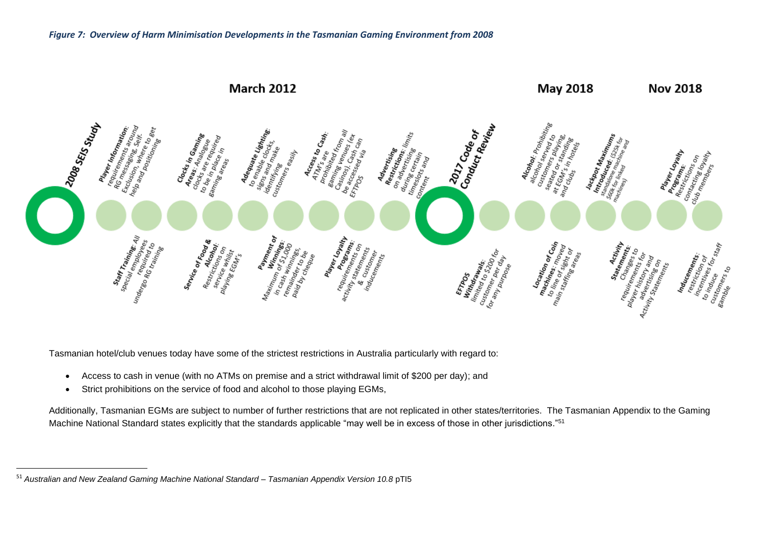

<span id="page-19-0"></span>Tasmanian hotel/club venues today have some of the strictest restrictions in Australia particularly with regard to:

- Access to cash in venue (with no ATMs on premise and a strict withdrawal limit of \$200 per day); and
- Strict prohibitions on the service of food and alcohol to those playing EGMs,

Additionally, Tasmanian EGMs are subject to number of further restrictions that are not replicated in other states/territories. The Tasmanian Appendix to the Gaming Machine National Standard states explicitly that the standards applicable "may well be in excess of those in other jurisdictions." 51

<sup>51</sup> *Australian and New Zealand Gaming Machine National Standard – Tasmanian Appendix Version 10.8* pTI5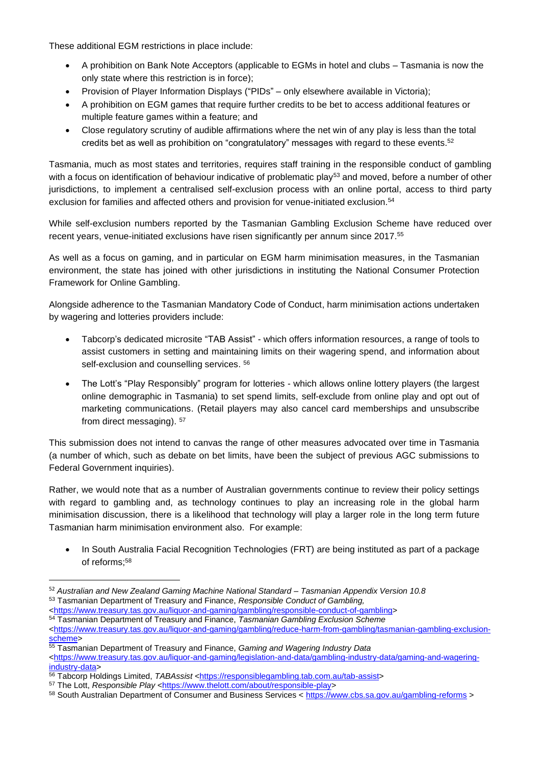These additional EGM restrictions in place include:

- A prohibition on Bank Note Acceptors (applicable to EGMs in hotel and clubs Tasmania is now the only state where this restriction is in force);
- Provision of Player Information Displays ("PIDs" only elsewhere available in Victoria);
- A prohibition on EGM games that require further credits to be bet to access additional features or multiple feature games within a feature; and
- Close regulatory scrutiny of audible affirmations where the net win of any play is less than the total credits bet as well as prohibition on "congratulatory" messages with regard to these events.<sup>52</sup>

Tasmania, much as most states and territories, requires staff training in the responsible conduct of gambling with a focus on identification of behaviour indicative of problematic play<sup>53</sup> and moved, before a number of other jurisdictions, to implement a centralised self-exclusion process with an online portal, access to third party exclusion for families and affected others and provision for venue-initiated exclusion. 54

While self-exclusion numbers reported by the Tasmanian Gambling Exclusion Scheme have reduced over recent years, venue-initiated exclusions have risen significantly per annum since 2017. 55

As well as a focus on gaming, and in particular on EGM harm minimisation measures, in the Tasmanian environment, the state has joined with other jurisdictions in instituting the National Consumer Protection Framework for Online Gambling.

Alongside adherence to the Tasmanian Mandatory Code of Conduct, harm minimisation actions undertaken by wagering and lotteries providers include:

- Tabcorp's dedicated microsite "TAB Assist" which offers information resources, a range of tools to assist customers in setting and maintaining limits on their wagering spend, and information about self-exclusion and counselling services. 56
- The Lott's "Play Responsibly" program for lotteries which allows online lottery players (the largest online demographic in Tasmania) to set spend limits, self-exclude from online play and opt out of marketing communications. (Retail players may also cancel card memberships and unsubscribe from direct messaging). <sup>57</sup>

This submission does not intend to canvas the range of other measures advocated over time in Tasmania (a number of which, such as debate on bet limits, have been the subject of previous AGC submissions to Federal Government inquiries).

Rather, we would note that as a number of Australian governments continue to review their policy settings with regard to gambling and, as technology continues to play an increasing role in the global harm minimisation discussion, there is a likelihood that technology will play a larger role in the long term future Tasmanian harm minimisation environment also. For example:

In South Australia Facial Recognition Technologies (FRT) are being instituted as part of a package of reforms; 58

<sup>52</sup> *Australian and New Zealand Gaming Machine National Standard – Tasmanian Appendix Version 10.8*

<sup>53</sup> Tasmanian Department of Treasury and Finance, *Responsible Conduct of Gambling,*

[<sup>&</sup>lt;https://www.treasury.tas.gov.au/liquor-and-gaming/gambling/responsible-conduct-of-gambling>](https://www.treasury.tas.gov.au/liquor-and-gaming/gambling/responsible-conduct-of-gambling)

<sup>54</sup> Tasmanian Department of Treasury and Finance, *Tasmanian Gambling Exclusion Scheme* [<https://www.treasury.tas.gov.au/liquor-and-gaming/gambling/reduce-harm-from-gambling/tasmanian-gambling-exclusion-](https://www.treasury.tas.gov.au/liquor-and-gaming/gambling/reduce-harm-from-gambling/tasmanian-gambling-exclusion-scheme)

[scheme>](https://www.treasury.tas.gov.au/liquor-and-gaming/gambling/reduce-harm-from-gambling/tasmanian-gambling-exclusion-scheme) <sup>55</sup> Tasmanian Department of Treasury and Finance, *Gaming and Wagering Industry Data*

[<sup>&</sup>lt;https://www.treasury.tas.gov.au/liquor-and-gaming/legislation-and-data/gambling-industry-data/gaming-and-wagering](https://www.treasury.tas.gov.au/liquor-and-gaming/legislation-and-data/gambling-industry-data/gaming-and-wagering-industry-data)[industry-data>](https://www.treasury.tas.gov.au/liquor-and-gaming/legislation-and-data/gambling-industry-data/gaming-and-wagering-industry-data)

<sup>56</sup> Tabcorp Holdings Limited, *TABAssist* [<https://responsiblegambling.tab.com.au/tab-assist>](https://responsiblegambling.tab.com.au/tab-assist)

<sup>&</sup>lt;sup>57</sup> The Lott, *Responsible Play* [<https://www.thelott.com/about/responsible-play>](https://www.thelott.com/about/responsible-play)

<sup>58</sup> South Australian Department of Consumer and Business Services [< https://www.cbs.sa.gov.au/gambling-reforms](https://www.cbs.sa.gov.au/gambling-reforms) >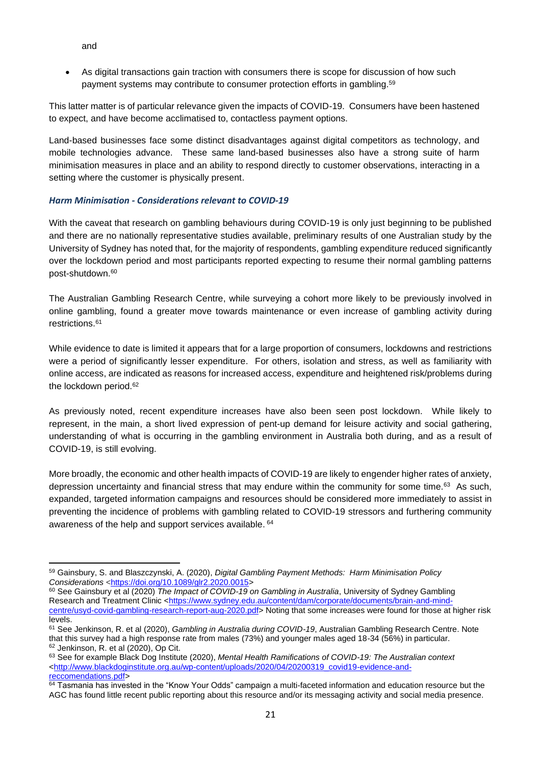and

• As digital transactions gain traction with consumers there is scope for discussion of how such payment systems may contribute to consumer protection efforts in gambling. 59

This latter matter is of particular relevance given the impacts of COVID-19. Consumers have been hastened to expect, and have become acclimatised to, contactless payment options.

Land-based businesses face some distinct disadvantages against digital competitors as technology, and mobile technologies advance. These same land-based businesses also have a strong suite of harm minimisation measures in place and an ability to respond directly to customer observations, interacting in a setting where the customer is physically present.

# <span id="page-21-0"></span>*Harm Minimisation - Considerations relevant to COVID-19*

With the caveat that research on gambling behaviours during COVID-19 is only just beginning to be published and there are no nationally representative studies available, preliminary results of one Australian study by the University of Sydney has noted that, for the majority of respondents, gambling expenditure reduced significantly over the lockdown period and most participants reported expecting to resume their normal gambling patterns post-shutdown. 60

The Australian Gambling Research Centre, while surveying a cohort more likely to be previously involved in online gambling, found a greater move towards maintenance or even increase of gambling activity during restrictions.<sup>61</sup>

While evidence to date is limited it appears that for a large proportion of consumers, lockdowns and restrictions were a period of significantly lesser expenditure. For others, isolation and stress, as well as familiarity with online access, are indicated as reasons for increased access, expenditure and heightened risk/problems during the lockdown period. 62

As previously noted, recent expenditure increases have also been seen post lockdown. While likely to represent, in the main, a short lived expression of pent-up demand for leisure activity and social gathering, understanding of what is occurring in the gambling environment in Australia both during, and as a result of COVID-19, is still evolving.

More broadly, the economic and other health impacts of COVID-19 are likely to engender higher rates of anxiety, depression uncertainty and financial stress that may endure within the community for some time.<sup>63</sup> As such, expanded, targeted information campaigns and resources should be considered more immediately to assist in preventing the incidence of problems with gambling related to COVID-19 stressors and furthering community awareness of the help and support services available. 64

<sup>59</sup> Gainsbury, S. and Blaszczynski, A. (2020), *Digital Gambling Payment Methods: Harm Minimisation Policy Considerations* [<https://doi.org/10.1089/glr2.2020.0015>](https://doi.org/10.1089/glr2.2020.0015)

<sup>60</sup> See Gainsbury et al (2020) *The Impact of COVID-19 on Gambling in Australia*, University of Sydney Gambling Research and Treatment Clinic [<https://www.sydney.edu.au/content/dam/corporate/documents/brain-and-mind](https://www.sydney.edu.au/content/dam/corporate/documents/brain-and-mind-centre/usyd-covid-gambling-research-report-aug-2020.pd)[centre/usyd-covid-gambling-research-report-aug-2020.pdf](https://www.sydney.edu.au/content/dam/corporate/documents/brain-and-mind-centre/usyd-covid-gambling-research-report-aug-2020.pd)> Noting that some increases were found for those at higher risk levels.

<sup>61</sup> See Jenkinson, R. et al (2020), *Gambling in Australia during COVID-19*, Australian Gambling Research Centre. Note that this survey had a high response rate from males (73%) and younger males aged 18-34 (56%) in particular. <sup>62</sup> Jenkinson, R. et al (2020), Op Cit.

<sup>63</sup> See for example Black Dog Institute (2020), *Mental Health Ramifications of COVID-19: The Australian context*  $\text{~chttp://www.blackdoginstitute.org.au/wp-content/uploads/2020/04/20200319\_covid19-evidence-and-}$ [reccomendations.pdf>](http://www.blackdoginstitute.org.au/wp-content/uploads/2020/04/20200319_covid19-evidence-and-reccomendations.pdf)

<sup>&</sup>lt;sup>64</sup> Tasmania has invested in the "Know Your Odds" campaign a multi-faceted information and education resource but the AGC has found little recent public reporting about this resource and/or its messaging activity and social media presence.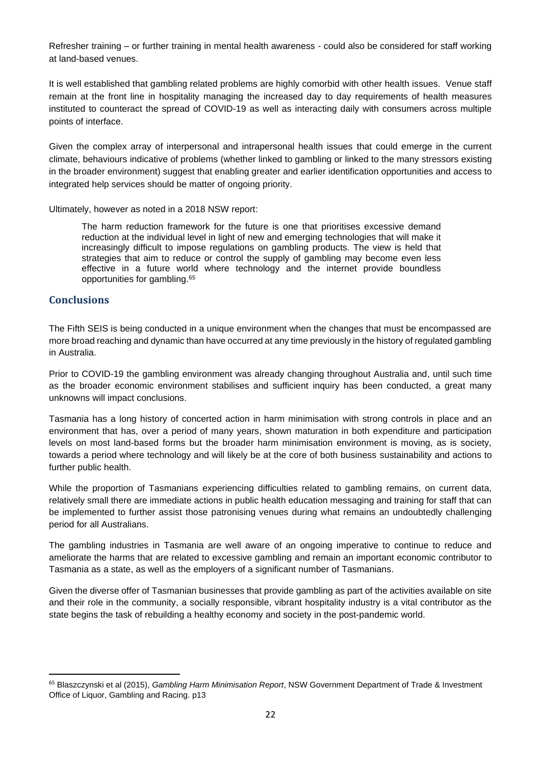Refresher training – or further training in mental health awareness - could also be considered for staff working at land-based venues.

It is well established that gambling related problems are highly comorbid with other health issues. Venue staff remain at the front line in hospitality managing the increased day to day requirements of health measures instituted to counteract the spread of COVID-19 as well as interacting daily with consumers across multiple points of interface.

Given the complex array of interpersonal and intrapersonal health issues that could emerge in the current climate, behaviours indicative of problems (whether linked to gambling or linked to the many stressors existing in the broader environment) suggest that enabling greater and earlier identification opportunities and access to integrated help services should be matter of ongoing priority.

Ultimately, however as noted in a 2018 NSW report:

The harm reduction framework for the future is one that prioritises excessive demand reduction at the individual level in light of new and emerging technologies that will make it increasingly difficult to impose regulations on gambling products. The view is held that strategies that aim to reduce or control the supply of gambling may become even less effective in a future world where technology and the internet provide boundless opportunities for gambling.<sup>65</sup>

# <span id="page-22-0"></span>**Conclusions**

The Fifth SEIS is being conducted in a unique environment when the changes that must be encompassed are more broad reaching and dynamic than have occurred at any time previously in the history of regulated gambling in Australia.

Prior to COVID-19 the gambling environment was already changing throughout Australia and, until such time as the broader economic environment stabilises and sufficient inquiry has been conducted, a great many unknowns will impact conclusions.

Tasmania has a long history of concerted action in harm minimisation with strong controls in place and an environment that has, over a period of many years, shown maturation in both expenditure and participation levels on most land-based forms but the broader harm minimisation environment is moving, as is society, towards a period where technology and will likely be at the core of both business sustainability and actions to further public health.

While the proportion of Tasmanians experiencing difficulties related to gambling remains, on current data, relatively small there are immediate actions in public health education messaging and training for staff that can be implemented to further assist those patronising venues during what remains an undoubtedly challenging period for all Australians.

The gambling industries in Tasmania are well aware of an ongoing imperative to continue to reduce and ameliorate the harms that are related to excessive gambling and remain an important economic contributor to Tasmania as a state, as well as the employers of a significant number of Tasmanians.

Given the diverse offer of Tasmanian businesses that provide gambling as part of the activities available on site and their role in the community, a socially responsible, vibrant hospitality industry is a vital contributor as the state begins the task of rebuilding a healthy economy and society in the post-pandemic world.

<sup>65</sup> Blaszczynski et al (2015), *Gambling Harm Minimisation Report*, NSW Government Department of Trade & Investment Office of Liquor, Gambling and Racing. p13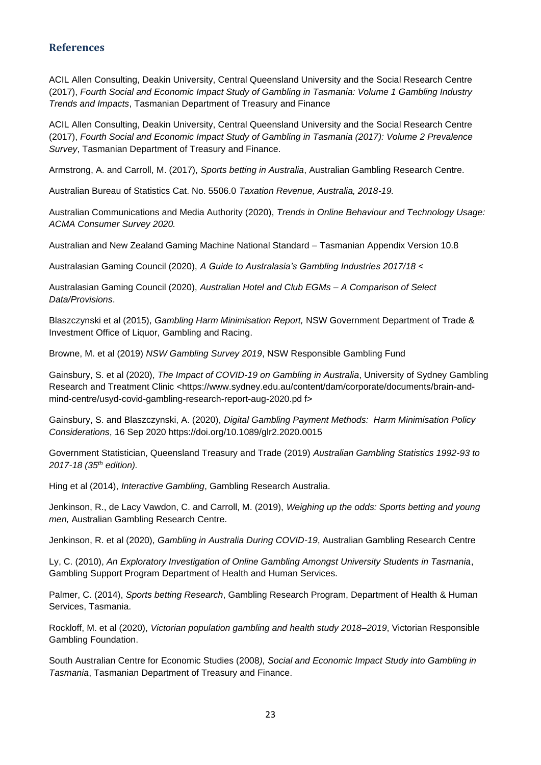#### <span id="page-23-0"></span>**References**

ACIL Allen Consulting, Deakin University, Central Queensland University and the Social Research Centre (2017), *Fourth Social and Economic Impact Study of Gambling in Tasmania: Volume 1 Gambling Industry Trends and Impacts*, Tasmanian Department of Treasury and Finance

ACIL Allen Consulting, Deakin University, Central Queensland University and the Social Research Centre (2017), *Fourth Social and Economic Impact Study of Gambling in Tasmania (2017): Volume 2 Prevalence Survey*, Tasmanian Department of Treasury and Finance.

Armstrong, A. and Carroll, M. (2017), *Sports betting in Australia*, Australian Gambling Research Centre.

Australian Bureau of Statistics Cat. No. 5506.0 *Taxation Revenue, Australia, 2018-19.*

Australian Communications and Media Authority (2020), *Trends in Online Behaviour and Technology Usage: ACMA Consumer Survey 2020.* 

Australian and New Zealand Gaming Machine National Standard – Tasmanian Appendix Version 10.8

Australasian Gaming Council (2020), *A Guide to Australasia's Gambling Industries 2017/18 <*

Australasian Gaming Council (2020), *Australian Hotel and Club EGMs – A Comparison of Select Data/Provisions*.

Blaszczynski et al (2015), *Gambling Harm Minimisation Report,* NSW Government Department of Trade & Investment Office of Liquor, Gambling and Racing.

Browne, M. et al (2019) *NSW Gambling Survey 2019*, NSW Responsible Gambling Fund

Gainsbury, S. et al (2020), *The Impact of COVID-19 on Gambling in Australia*, University of Sydney Gambling Research and Treatment Clinic <https://www.sydney.edu.au/content/dam/corporate/documents/brain-andmind-centre/usyd-covid-gambling-research-report-aug-2020.pd f>

Gainsbury, S. and Blaszczynski, A. (2020), *Digital Gambling Payment Methods: Harm Minimisation Policy Considerations*, 16 Sep 2020 https://doi.org/10.1089/glr2.2020.0015

Government Statistician, Queensland Treasury and Trade (2019) *Australian Gambling Statistics 1992-93 to 2017-18 (35th edition).*

Hing et al (2014), *Interactive Gambling*, Gambling Research Australia.

Jenkinson, R., de Lacy Vawdon, C. and Carroll, M. (2019), *Weighing up the odds: Sports betting and young men,* Australian Gambling Research Centre.

Jenkinson, R. et al (2020), *Gambling in Australia During COVID-19*, Australian Gambling Research Centre

Ly, C. (2010), *An Exploratory Investigation of Online Gambling Amongst University Students in Tasmania*, Gambling Support Program Department of Health and Human Services.

Palmer, C. (2014), *Sports betting Research*, Gambling Research Program, Department of Health & Human Services, Tasmania.

Rockloff, M. et al (2020), *Victorian population gambling and health study 2018–2019*, Victorian Responsible Gambling Foundation.

South Australian Centre for Economic Studies (2008*), Social and Economic Impact Study into Gambling in Tasmania*, Tasmanian Department of Treasury and Finance.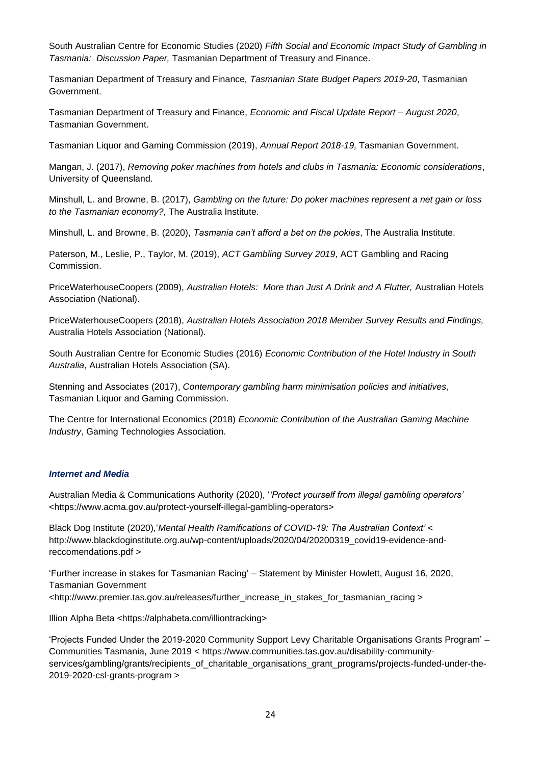South Australian Centre for Economic Studies (2020) *Fifth Social and Economic Impact Study of Gambling in Tasmania: Discussion Paper,* Tasmanian Department of Treasury and Finance.

Tasmanian Department of Treasury and Finance*, Tasmanian State Budget Papers 2019-20*, Tasmanian Government.

Tasmanian Department of Treasury and Finance, *Economic and Fiscal Update Report – August 2020*, Tasmanian Government.

Tasmanian Liquor and Gaming Commission (2019), *Annual Report 2018-19,* Tasmanian Government.

Mangan, J. (2017), *Removing poker machines from hotels and clubs in Tasmania: Economic considerations*, University of Queensland.

Minshull, L. and Browne, B. (2017), *Gambling on the future: Do poker machines represent a net gain or loss to the Tasmanian economy?,* The Australia Institute.

Minshull, L. and Browne, B. (2020), *Tasmania can't afford a bet on the pokies*, The Australia Institute.

Paterson, M., Leslie, P., Taylor, M. (2019), *ACT Gambling Survey 2019*, ACT Gambling and Racing **Commission** 

PriceWaterhouseCoopers (2009), *Australian Hotels: More than Just A Drink and A Flutter,* Australian Hotels Association (National).

PriceWaterhouseCoopers (2018), *Australian Hotels Association 2018 Member Survey Results and Findings,* Australia Hotels Association (National).

South Australian Centre for Economic Studies (2016) *Economic Contribution of the Hotel Industry in South Australia*, Australian Hotels Association (SA).

Stenning and Associates (2017), *Contemporary gambling harm minimisation policies and initiatives*, Tasmanian Liquor and Gaming Commission.

The Centre for International Economics (2018) *Economic Contribution of the Australian Gaming Machine Industry*, Gaming Technologies Association.

#### *Internet and Media*

Australian Media & Communications Authority (2020), '*'Protect yourself from illegal gambling operators'*  <https://www.acma.gov.au/protect-yourself-illegal-gambling-operators>

Black Dog Institute (2020),'*Mental Health Ramifications of COVID-19: The Australian Context'* < http://www.blackdoginstitute.org.au/wp-content/uploads/2020/04/20200319\_covid19-evidence-andreccomendations.pdf >

'Further increase in stakes for Tasmanian Racing' – Statement by Minister Howlett, August 16, 2020, Tasmanian Government <http://www.premier.tas.gov.au/releases/further\_increase\_in\_stakes\_for\_tasmanian\_racing >

Illion Alpha Beta <https://alphabeta.com/illiontracking>

'Projects Funded Under the 2019-2020 Community Support Levy Charitable Organisations Grants Program' – Communities Tasmania, June 2019 < https://www.communities.tas.gov.au/disability-communityservices/gambling/grants/recipients\_of\_charitable\_organisations\_grant\_programs/projects-funded-under-the-2019-2020-csl-grants-program >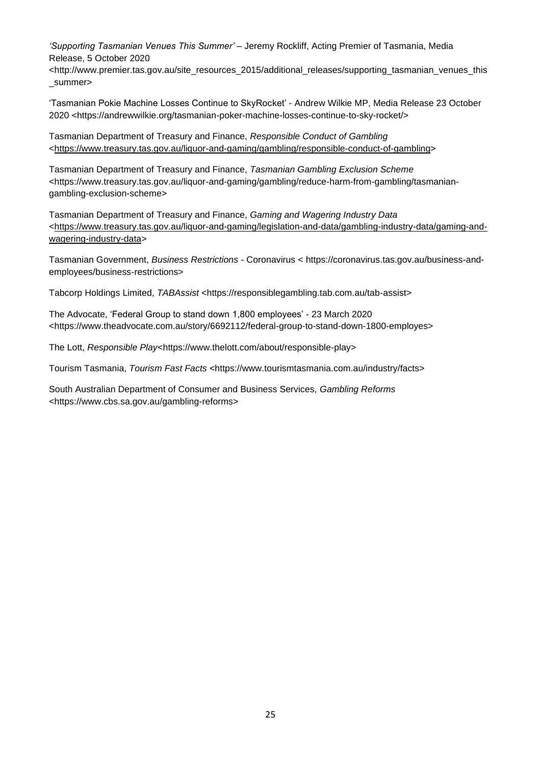*'Supporting Tasmanian Venues This Summer'* – Jeremy Rockliff, Acting Premier of Tasmania, Media Release, 5 October 2020

<http://www.premier.tas.gov.au/site\_resources\_2015/additional\_releases/supporting\_tasmanian\_venues\_this \_summer>

'Tasmanian Pokie Machine Losses Continue to SkyRocket' - Andrew Wilkie MP, Media Release 23 October 2020 <https://andrewwilkie.org/tasmanian-poker-machine-losses-continue-to-sky-rocket/>

Tasmanian Department of Treasury and Finance, *Responsible Conduct of Gambling* [<https://www.treasury.tas.gov.au/liquor-and-gaming/gambling/responsible-conduct-of-gambling>](https://www.treasury.tas.gov.au/liquor-and-gaming/gambling/responsible-conduct-of-gambling)

Tasmanian Department of Treasury and Finance, *Tasmanian Gambling Exclusion Scheme* <https://www.treasury.tas.gov.au/liquor-and-gaming/gambling/reduce-harm-from-gambling/tasmaniangambling-exclusion-scheme>

Tasmanian Department of Treasury and Finance, *Gaming and Wagering Industry Data* [<https://www.treasury.tas.gov.au/liquor-and-gaming/legislation-and-data/gambling-industry-data/gaming-and](https://www.treasury.tas.gov.au/liquor-and-gaming/legislation-and-data/gambling-industry-data/gaming-and-wagering-industry-data)[wagering-industry-data>](https://www.treasury.tas.gov.au/liquor-and-gaming/legislation-and-data/gambling-industry-data/gaming-and-wagering-industry-data)

Tasmanian Government, *Business Restrictions -* Coronavirus < https://coronavirus.tas.gov.au/business-andemployees/business-restrictions>

Tabcorp Holdings Limited, *TABAssist* <https://responsiblegambling.tab.com.au/tab-assist>

The Advocate, 'Federal Group to stand down 1,800 employees' - 23 March 2020 <https://www.theadvocate.com.au/story/6692112/federal-group-to-stand-down-1800-employes>

The Lott, *Responsible Play*<https://www.thelott.com/about/responsible-play>

Tourism Tasmania, *Tourism Fast Facts* <https://www.tourismtasmania.com.au/industry/facts>

South Australian Department of Consumer and Business Services, *Gambling Reforms* <https://www.cbs.sa.gov.au/gambling-reforms>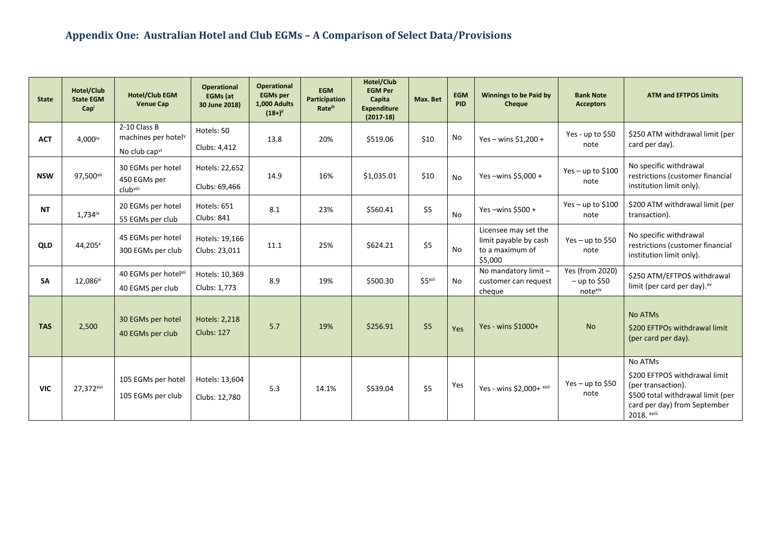<span id="page-26-0"></span>

| <b>State</b> | Hotel/Club<br><b>State EGM</b><br>Capi | <b>Hotel/Club EGM</b><br><b>Venue Cap</b>                        | <b>Operational</b><br><b>EGMs (at</b><br>30 June 2018) | <b>Operational</b><br><b>EGMs per</b><br>1,000 Adults<br>$(18+)^{ii}$ | <b>EGM</b><br>Participation<br><b>Rateill</b> | Hotel/Club<br><b>EGM Per</b><br>Capita<br><b>Expenditure</b><br>$(2017-18)$ | Max. Bet | <b>EGM</b><br><b>PID</b> | <b>Winnings to be Paid by</b><br>Cheque                                     | <b>Bank Note</b><br><b>Acceptors</b>                | <b>ATM and EFTPOS Limits</b>                                                                                                                       |
|--------------|----------------------------------------|------------------------------------------------------------------|--------------------------------------------------------|-----------------------------------------------------------------------|-----------------------------------------------|-----------------------------------------------------------------------------|----------|--------------------------|-----------------------------------------------------------------------------|-----------------------------------------------------|----------------------------------------------------------------------------------------------------------------------------------------------------|
| <b>ACT</b>   | 4,000iv                                | 2-10 Class B<br>machines per hotel <sup>v</sup><br>No club capvi | Hotels: 50<br>Clubs: 4,412                             | 13.8                                                                  | 20%                                           | \$519.06                                                                    | \$10     | No                       | Yes - wins $$1,200 +$                                                       | Yes - up to \$50<br>note                            | \$250 ATM withdrawal limit (per<br>card per day).                                                                                                  |
| <b>NSW</b>   | 97,500vii                              | 30 EGMs per hotel<br>450 EGMs per<br>clubviii                    | Hotels: 22,652<br>Clubs: 69,466                        | 14.9                                                                  | 16%                                           | \$1,035.01                                                                  | \$10     | <b>No</b>                | Yes-wins $$5,000+$                                                          | Yes $-$ up to \$100<br>note                         | No specific withdrawal<br>restrictions (customer financial<br>institution limit only).                                                             |
| <b>NT</b>    | $1,734$ <sup>ix</sup>                  | 20 EGMs per hotel<br>55 EGMs per club                            | Hotels: 651<br><b>Clubs: 841</b>                       | 8.1                                                                   | 23%                                           | \$560.41                                                                    | \$5      | No                       | Yes-wins $$500 +$                                                           | Yes - up to $$100$<br>note                          | \$200 ATM withdrawal limit (per<br>transaction).                                                                                                   |
| QLD          | 44,205 <sup>x</sup>                    | 45 EGMs per hotel<br>300 EGMs per club                           | Hotels: 19,166<br>Clubs: 23,011                        | 11.1                                                                  | 25%                                           | \$624.21                                                                    | \$5      | <b>No</b>                | Licensee may set the<br>limit payable by cash<br>to a maximum of<br>\$5,000 | Yes – up to \$50<br>note                            | No specific withdrawal<br>restrictions (customer financial<br>institution limit only).                                                             |
| <b>SA</b>    | 12,086 <sup>xi</sup>                   | 40 EGMs per hotelxii<br>40 EGMS per club                         | Hotels: 10,369<br>Clubs: 1,773                         | 8.9                                                                   | 19%                                           | \$500.30                                                                    | \$5xiii  | No                       | No mandatory limit -<br>customer can request<br>cheque                      | <b>Yes (from 2020)</b><br>$-$ up to \$50<br>notexiv | \$250 ATM/EFTPOS withdrawal<br>limit (per card per day). xv                                                                                        |
| <b>TAS</b>   | 2,500                                  | 30 EGMs per hotel<br>40 EGMs per club                            | Hotels: 2,218<br><b>Clubs: 127</b>                     | 5.7                                                                   | 19%                                           | \$256.91                                                                    | \$5      | Yes                      | Yes - wins \$1000+                                                          | <b>No</b>                                           | <b>No ATMs</b><br>\$200 EFTPOs withdrawal limit<br>(per card per day).                                                                             |
| <b>VIC</b>   | 27,372 <sup>xvi</sup>                  | 105 EGMs per hotel<br>105 EGMs per club                          | Hotels: 13,604<br>Clubs: 12,780                        | 5.3                                                                   | 14.1%                                         | \$539.04                                                                    | \$5      | Yes                      | Yes - wins \$2,000+ xvii                                                    | Yes – up to \$50<br>note                            | No ATMs<br>\$200 EFTPOS withdrawal limit<br>(per transaction).<br>\$500 total withdrawal limit (per<br>card per day) from September<br>2018. xviii |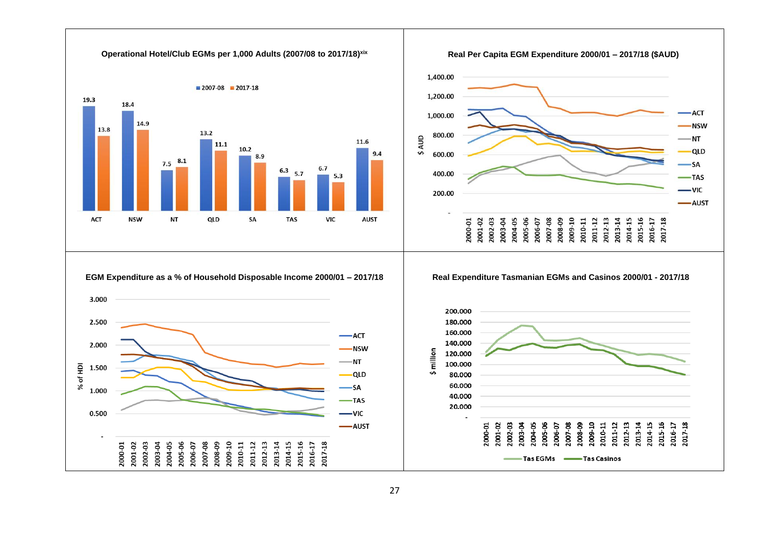